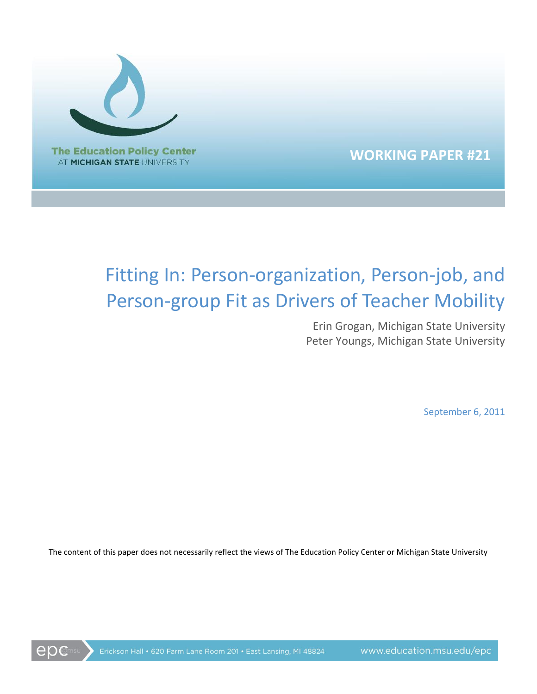

**WORKING PAPER #21**

# Fitting In: Person-organization, Person-job, and Person-group Fit as Drivers of Teacher Mobility

Erin Grogan, Michigan State University Peter Youngs, Michigan State University

September 6, 2011

The content of this paper does not necessarily reflect the views of The Education Policy Center or Michigan State University

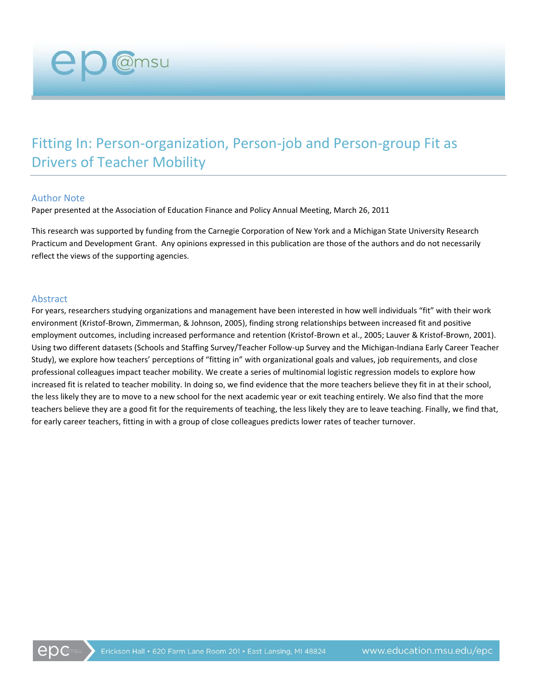## Fitting In: Person-organization, Person-job and Person-group Fit as Drivers of Teacher Mobility

#### Author Note

**ep** @msu

Paper presented at the Association of Education Finance and Policy Annual Meeting, March 26, 2011

This research was supported by funding from the Carnegie Corporation of New York and a Michigan State University Research Practicum and Development Grant. Any opinions expressed in this publication are those of the authors and do not necessarily reflect the views of the supporting agencies.

#### Abstract

For years, researchers studying organizations and management have been interested in how well individuals "fit" with their work environment (Kristof-Brown, Zimmerman, & Johnson, 2005), finding strong relationships between increased fit and positive employment outcomes, including increased performance and retention (Kristof-Brown et al., 2005; Lauver & Kristof-Brown, 2001). Using two different datasets (Schools and Staffing Survey/Teacher Follow-up Survey and the Michigan-Indiana Early Career Teacher Study), we explore how teachers' perceptions of "fitting in" with organizational goals and values, job requirements, and close professional colleagues impact teacher mobility. We create a series of multinomial logistic regression models to explore how increased fit is related to teacher mobility. In doing so, we find evidence that the more teachers believe they fit in at their school, the less likely they are to move to a new school for the next academic year or exit teaching entirely. We also find that the more teachers believe they are a good fit for the requirements of teaching, the less likely they are to leave teaching. Finally, we find that, for early career teachers, fitting in with a group of close colleagues predicts lower rates of teacher turnover.

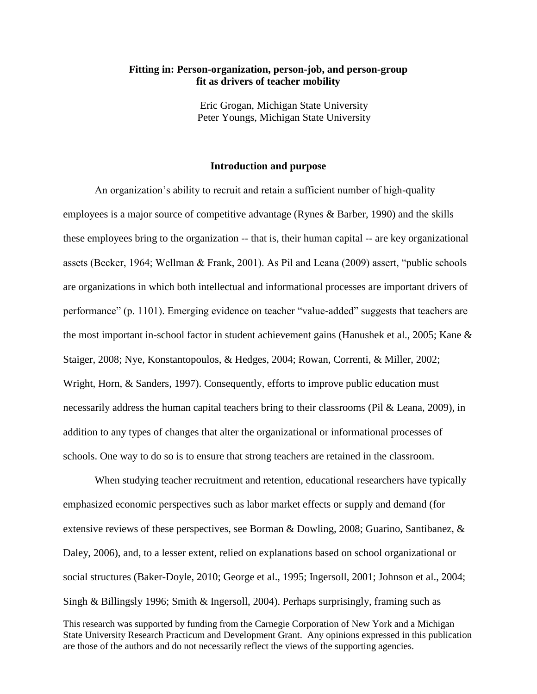#### **Fitting in: Person-organization, person-job, and person-group fit as drivers of teacher mobility**

Eric Grogan, Michigan State University Peter Youngs, Michigan State University

#### **Introduction and purpose**

An organization's ability to recruit and retain a sufficient number of high-quality employees is a major source of competitive advantage (Rynes & Barber, 1990) and the skills these employees bring to the organization -- that is, their human capital -- are key organizational assets (Becker, 1964; Wellman & Frank, 2001). As Pil and Leana (2009) assert, "public schools are organizations in which both intellectual and informational processes are important drivers of performance" (p. 1101). Emerging evidence on teacher "value-added" suggests that teachers are the most important in-school factor in student achievement gains (Hanushek et al., 2005; Kane & Staiger, 2008; Nye, Konstantopoulos, & Hedges, 2004; Rowan, Correnti, & Miller, 2002; Wright, Horn, & Sanders, 1997). Consequently, efforts to improve public education must necessarily address the human capital teachers bring to their classrooms (Pil & Leana, 2009), in addition to any types of changes that alter the organizational or informational processes of schools. One way to do so is to ensure that strong teachers are retained in the classroom.

This research was supported by funding from the Carnegie Corporation of New York and a Michigan State University Research Practicum and Development Grant. Any opinions expressed in this publication are those of the authors and do not necessarily reflect the views of the supporting agencies. When studying teacher recruitment and retention, educational researchers have typically emphasized economic perspectives such as labor market effects or supply and demand (for extensive reviews of these perspectives, see Borman & Dowling, 2008; Guarino, Santibanez, & Daley, 2006), and, to a lesser extent, relied on explanations based on school organizational or social structures (Baker-Doyle, 2010; George et al., 1995; Ingersoll, 2001; Johnson et al., 2004; Singh & Billingsly 1996; Smith & Ingersoll, 2004). Perhaps surprisingly, framing such as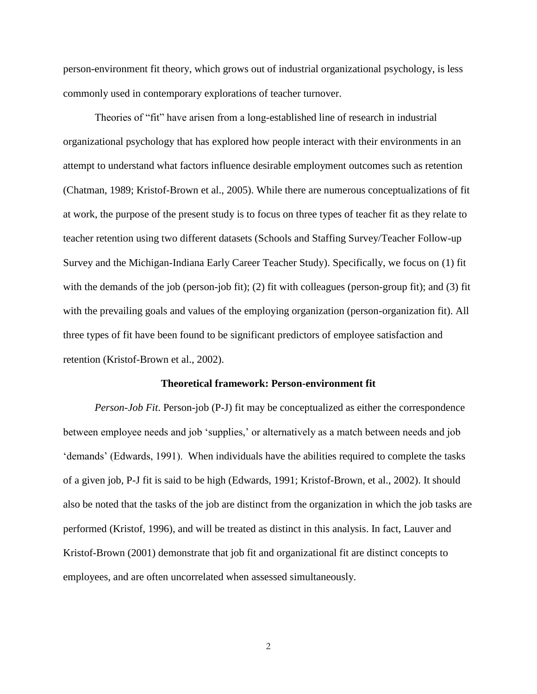person-environment fit theory, which grows out of industrial organizational psychology, is less commonly used in contemporary explorations of teacher turnover.

Theories of "fit" have arisen from a long-established line of research in industrial organizational psychology that has explored how people interact with their environments in an attempt to understand what factors influence desirable employment outcomes such as retention (Chatman, 1989; Kristof-Brown et al., 2005). While there are numerous conceptualizations of fit at work, the purpose of the present study is to focus on three types of teacher fit as they relate to teacher retention using two different datasets (Schools and Staffing Survey/Teacher Follow-up Survey and the Michigan-Indiana Early Career Teacher Study). Specifically, we focus on (1) fit with the demands of the job (person-job fit); (2) fit with colleagues (person-group fit); and (3) fit with the prevailing goals and values of the employing organization (person-organization fit). All three types of fit have been found to be significant predictors of employee satisfaction and retention (Kristof-Brown et al., 2002).

#### **Theoretical framework: Person-environment fit**

*Person-Job Fit*. Person-job (P-J) fit may be conceptualized as either the correspondence between employee needs and job 'supplies,' or alternatively as a match between needs and job 'demands' (Edwards, 1991). When individuals have the abilities required to complete the tasks of a given job, P-J fit is said to be high (Edwards, 1991; Kristof-Brown, et al., 2002). It should also be noted that the tasks of the job are distinct from the organization in which the job tasks are performed (Kristof, 1996), and will be treated as distinct in this analysis. In fact, Lauver and Kristof-Brown (2001) demonstrate that job fit and organizational fit are distinct concepts to employees, and are often uncorrelated when assessed simultaneously.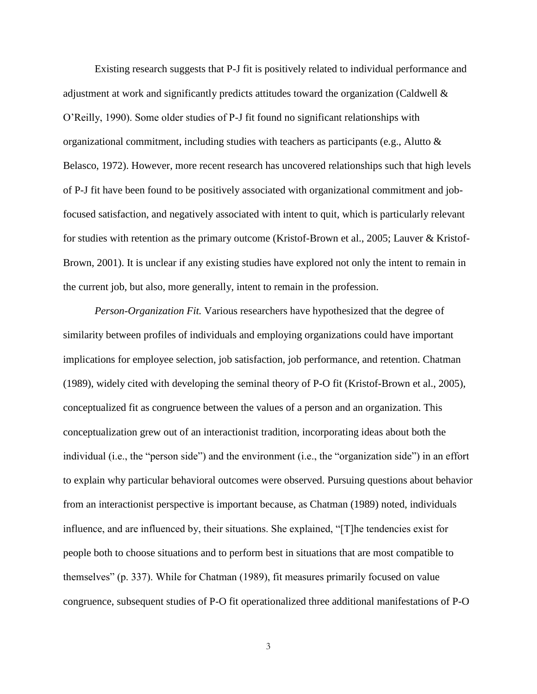Existing research suggests that P-J fit is positively related to individual performance and adjustment at work and significantly predicts attitudes toward the organization (Caldwell & O'Reilly, 1990). Some older studies of P-J fit found no significant relationships with organizational commitment, including studies with teachers as participants (e.g., Alutto  $\&$ Belasco, 1972). However, more recent research has uncovered relationships such that high levels of P-J fit have been found to be positively associated with organizational commitment and jobfocused satisfaction, and negatively associated with intent to quit, which is particularly relevant for studies with retention as the primary outcome (Kristof-Brown et al., 2005; Lauver & Kristof-Brown, 2001). It is unclear if any existing studies have explored not only the intent to remain in the current job, but also, more generally, intent to remain in the profession.

*Person-Organization Fit.* Various researchers have hypothesized that the degree of similarity between profiles of individuals and employing organizations could have important implications for employee selection, job satisfaction, job performance, and retention. Chatman (1989), widely cited with developing the seminal theory of P-O fit (Kristof-Brown et al., 2005), conceptualized fit as congruence between the values of a person and an organization. This conceptualization grew out of an interactionist tradition, incorporating ideas about both the individual (i.e., the "person side") and the environment (i.e., the "organization side") in an effort to explain why particular behavioral outcomes were observed. Pursuing questions about behavior from an interactionist perspective is important because, as Chatman (1989) noted, individuals influence, and are influenced by, their situations. She explained, "[T]he tendencies exist for people both to choose situations and to perform best in situations that are most compatible to themselves" (p. 337). While for Chatman (1989), fit measures primarily focused on value congruence, subsequent studies of P-O fit operationalized three additional manifestations of P-O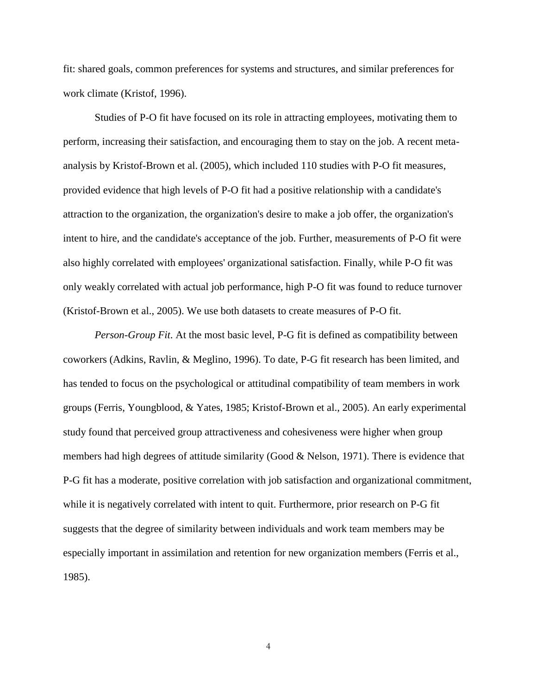fit: shared goals, common preferences for systems and structures, and similar preferences for work climate (Kristof, 1996).

Studies of P-O fit have focused on its role in attracting employees, motivating them to perform, increasing their satisfaction, and encouraging them to stay on the job. A recent metaanalysis by Kristof-Brown et al. (2005), which included 110 studies with P-O fit measures, provided evidence that high levels of P-O fit had a positive relationship with a candidate's attraction to the organization, the organization's desire to make a job offer, the organization's intent to hire, and the candidate's acceptance of the job. Further, measurements of P-O fit were also highly correlated with employees' organizational satisfaction. Finally, while P-O fit was only weakly correlated with actual job performance, high P-O fit was found to reduce turnover (Kristof-Brown et al., 2005). We use both datasets to create measures of P-O fit.

*Person-Group Fit*. At the most basic level, P-G fit is defined as compatibility between coworkers (Adkins, Ravlin, & Meglino, 1996). To date, P-G fit research has been limited, and has tended to focus on the psychological or attitudinal compatibility of team members in work groups (Ferris, Youngblood, & Yates, 1985; Kristof-Brown et al., 2005). An early experimental study found that perceived group attractiveness and cohesiveness were higher when group members had high degrees of attitude similarity (Good & Nelson, 1971). There is evidence that P-G fit has a moderate, positive correlation with job satisfaction and organizational commitment, while it is negatively correlated with intent to quit. Furthermore, prior research on P-G fit suggests that the degree of similarity between individuals and work team members may be especially important in assimilation and retention for new organization members (Ferris et al., 1985).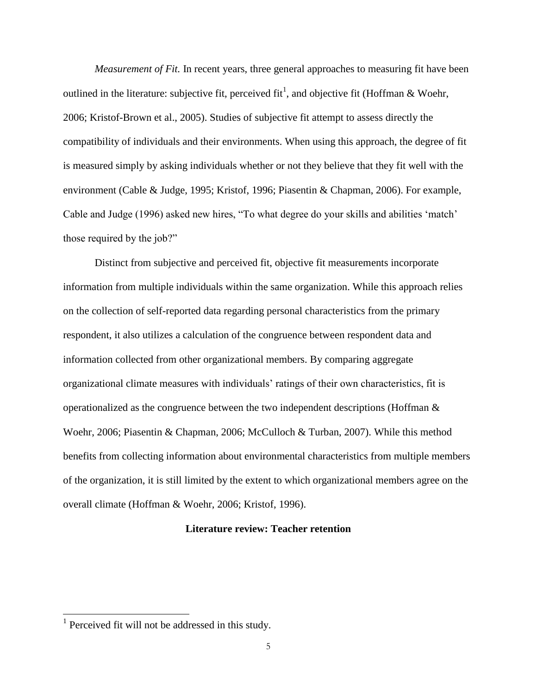*Measurement of Fit.* In recent years, three general approaches to measuring fit have been outlined in the literature: subjective fit, perceived fit<sup>1</sup>, and objective fit (Hoffman & Woehr, 2006; Kristof-Brown et al., 2005). Studies of subjective fit attempt to assess directly the compatibility of individuals and their environments. When using this approach, the degree of fit is measured simply by asking individuals whether or not they believe that they fit well with the environment (Cable & Judge, 1995; Kristof, 1996; Piasentin & Chapman, 2006). For example, Cable and Judge (1996) asked new hires, "To what degree do your skills and abilities 'match' those required by the job?"

Distinct from subjective and perceived fit, objective fit measurements incorporate information from multiple individuals within the same organization. While this approach relies on the collection of self-reported data regarding personal characteristics from the primary respondent, it also utilizes a calculation of the congruence between respondent data and information collected from other organizational members. By comparing aggregate organizational climate measures with individuals' ratings of their own characteristics, fit is operationalized as the congruence between the two independent descriptions (Hoffman & Woehr, 2006; Piasentin & Chapman, 2006; McCulloch & Turban, 2007). While this method benefits from collecting information about environmental characteristics from multiple members of the organization, it is still limited by the extent to which organizational members agree on the overall climate (Hoffman & Woehr, 2006; Kristof, 1996).

#### **Literature review: Teacher retention**

<sup>&</sup>lt;sup>1</sup> Perceived fit will not be addressed in this study.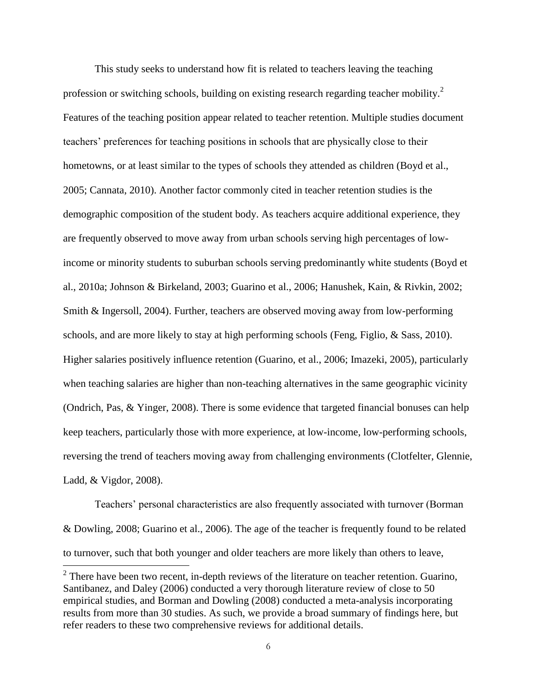This study seeks to understand how fit is related to teachers leaving the teaching profession or switching schools, building on existing research regarding teacher mobility.<sup>2</sup> Features of the teaching position appear related to teacher retention. Multiple studies document teachers' preferences for teaching positions in schools that are physically close to their hometowns, or at least similar to the types of schools they attended as children (Boyd et al., 2005; Cannata, 2010). Another factor commonly cited in teacher retention studies is the demographic composition of the student body. As teachers acquire additional experience, they are frequently observed to move away from urban schools serving high percentages of lowincome or minority students to suburban schools serving predominantly white students (Boyd et al., 2010a; Johnson & Birkeland, 2003; Guarino et al., 2006; Hanushek, Kain, & Rivkin, 2002; Smith & Ingersoll, 2004). Further, teachers are observed moving away from low-performing schools, and are more likely to stay at high performing schools (Feng, Figlio, & Sass, 2010). Higher salaries positively influence retention (Guarino, et al., 2006; Imazeki, 2005), particularly when teaching salaries are higher than non-teaching alternatives in the same geographic vicinity (Ondrich, Pas, & Yinger, 2008). There is some evidence that targeted financial bonuses can help keep teachers, particularly those with more experience, at low-income, low-performing schools, reversing the trend of teachers moving away from challenging environments (Clotfelter, Glennie, Ladd, & Vigdor, 2008).

Teachers' personal characteristics are also frequently associated with turnover (Borman & Dowling, 2008; Guarino et al., 2006). The age of the teacher is frequently found to be related to turnover, such that both younger and older teachers are more likely than others to leave,

<sup>&</sup>lt;sup>2</sup> There have been two recent, in-depth reviews of the literature on teacher retention. Guarino, Santibanez, and Daley (2006) conducted a very thorough literature review of close to 50 empirical studies, and Borman and Dowling (2008) conducted a meta-analysis incorporating results from more than 30 studies. As such, we provide a broad summary of findings here, but refer readers to these two comprehensive reviews for additional details.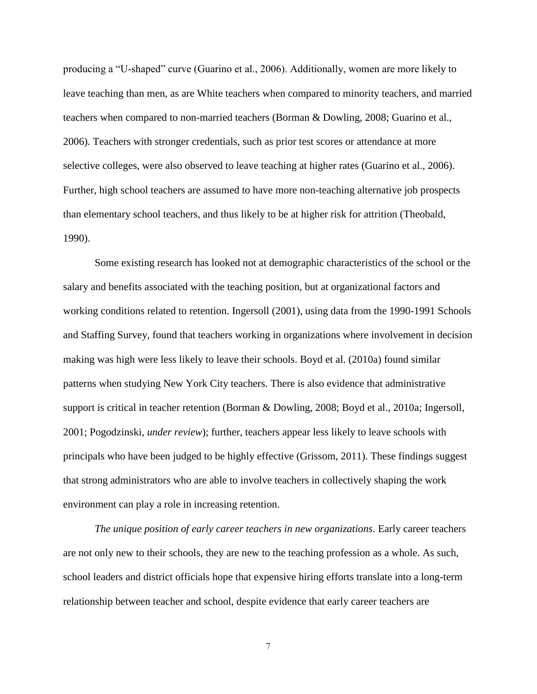producing a "U-shaped" curve (Guarino et al., 2006). Additionally, women are more likely to leave teaching than men, as are White teachers when compared to minority teachers, and married teachers when compared to non-married teachers (Borman & Dowling, 2008; Guarino et al., 2006). Teachers with stronger credentials, such as prior test scores or attendance at more selective colleges, were also observed to leave teaching at higher rates (Guarino et al., 2006). Further, high school teachers are assumed to have more non-teaching alternative job prospects than elementary school teachers, and thus likely to be at higher risk for attrition (Theobald, 1990).

Some existing research has looked not at demographic characteristics of the school or the salary and benefits associated with the teaching position, but at organizational factors and working conditions related to retention. Ingersoll (2001), using data from the 1990-1991 Schools and Staffing Survey, found that teachers working in organizations where involvement in decision making was high were less likely to leave their schools. Boyd et al. (2010a) found similar patterns when studying New York City teachers. There is also evidence that administrative support is critical in teacher retention (Borman & Dowling, 2008; Boyd et al., 2010a; Ingersoll, 2001; Pogodzinski, *under review*); further, teachers appear less likely to leave schools with principals who have been judged to be highly effective (Grissom, 2011). These findings suggest that strong administrators who are able to involve teachers in collectively shaping the work environment can play a role in increasing retention.

*The unique position of early career teachers in new organizations.* Early career teachers are not only new to their schools, they are new to the teaching profession as a whole. As such, school leaders and district officials hope that expensive hiring efforts translate into a long-term relationship between teacher and school, despite evidence that early career teachers are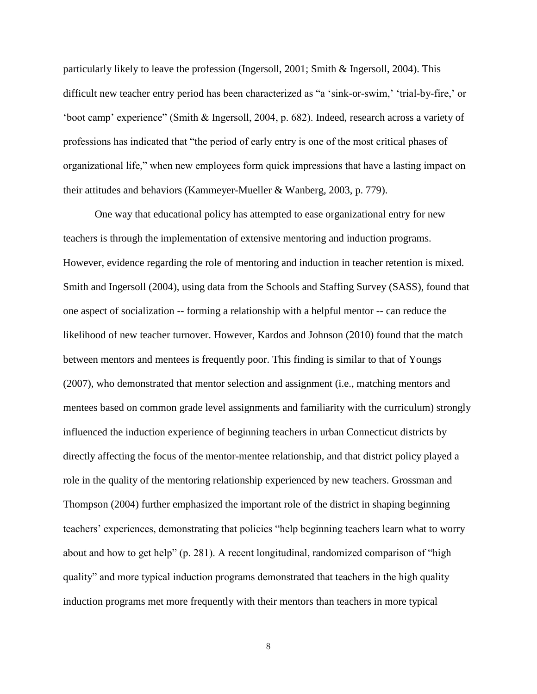particularly likely to leave the profession (Ingersoll, 2001; Smith & Ingersoll, 2004). This difficult new teacher entry period has been characterized as "a 'sink-or-swim,' 'trial-by-fire,' or 'boot camp' experience" (Smith & Ingersoll, 2004, p. 682). Indeed, research across a variety of professions has indicated that "the period of early entry is one of the most critical phases of organizational life," when new employees form quick impressions that have a lasting impact on their attitudes and behaviors (Kammeyer-Mueller & Wanberg, 2003, p. 779).

One way that educational policy has attempted to ease organizational entry for new teachers is through the implementation of extensive mentoring and induction programs. However, evidence regarding the role of mentoring and induction in teacher retention is mixed. Smith and Ingersoll (2004), using data from the Schools and Staffing Survey (SASS), found that one aspect of socialization -- forming a relationship with a helpful mentor -- can reduce the likelihood of new teacher turnover. However, Kardos and Johnson (2010) found that the match between mentors and mentees is frequently poor. This finding is similar to that of Youngs (2007), who demonstrated that mentor selection and assignment (i.e., matching mentors and mentees based on common grade level assignments and familiarity with the curriculum) strongly influenced the induction experience of beginning teachers in urban Connecticut districts by directly affecting the focus of the mentor-mentee relationship, and that district policy played a role in the quality of the mentoring relationship experienced by new teachers. Grossman and Thompson (2004) further emphasized the important role of the district in shaping beginning teachers' experiences, demonstrating that policies "help beginning teachers learn what to worry about and how to get help" (p. 281). A recent longitudinal, randomized comparison of "high quality" and more typical induction programs demonstrated that teachers in the high quality induction programs met more frequently with their mentors than teachers in more typical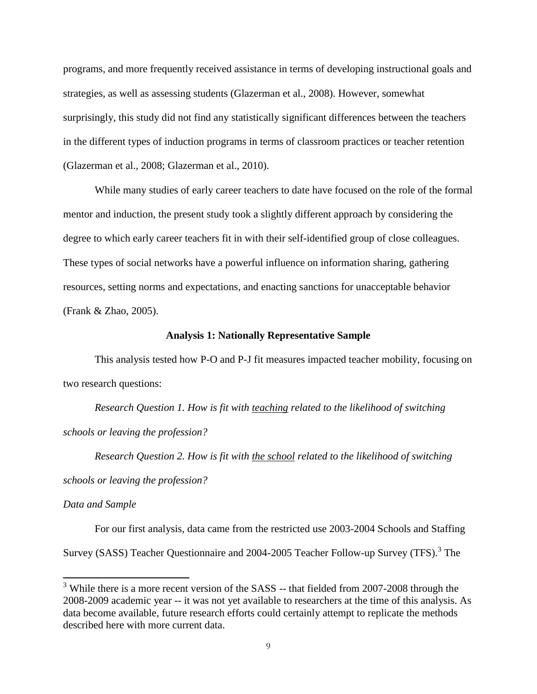programs, and more frequently received assistance in terms of developing instructional goals and strategies, as well as assessing students (Glazerman et al., 2008). However, somewhat surprisingly, this study did not find any statistically significant differences between the teachers in the different types of induction programs in terms of classroom practices or teacher retention (Glazerman et al., 2008; Glazerman et al., 2010).

While many studies of early career teachers to date have focused on the role of the formal mentor and induction, the present study took a slightly different approach by considering the degree to which early career teachers fit in with their self-identified group of close colleagues. These types of social networks have a powerful influence on information sharing, gathering resources, setting norms and expectations, and enacting sanctions for unacceptable behavior (Frank & Zhao, 2005).

#### **Analysis 1: Nationally Representative Sample**

This analysis tested how P-O and P-J fit measures impacted teacher mobility, focusing on two research questions:

*Research Question 1. How is fit with teaching related to the likelihood of switching schools or leaving the profession?*

*Research Question 2. How is fit with the school related to the likelihood of switching schools or leaving the profession?*

#### *Data and Sample*

 $\overline{a}$ 

For our first analysis, data came from the restricted use 2003-2004 Schools and Staffing Survey (SASS) Teacher Questionnaire and 2004-2005 Teacher Follow-up Survey (TFS).<sup>3</sup> The

<sup>&</sup>lt;sup>3</sup> While there is a more recent version of the SASS -- that fielded from 2007-2008 through the 2008-2009 academic year -- it was not yet available to researchers at the time of this analysis. As data become available, future research efforts could certainly attempt to replicate the methods described here with more current data.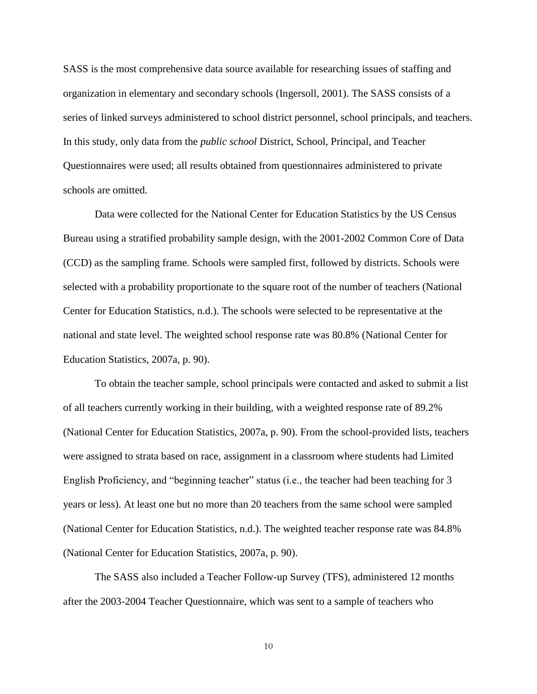SASS is the most comprehensive data source available for researching issues of staffing and organization in elementary and secondary schools (Ingersoll, 2001). The SASS consists of a series of linked surveys administered to school district personnel, school principals, and teachers. In this study, only data from the *public school* District, School, Principal, and Teacher Questionnaires were used; all results obtained from questionnaires administered to private schools are omitted.

Data were collected for the National Center for Education Statistics by the US Census Bureau using a stratified probability sample design, with the 2001-2002 Common Core of Data (CCD) as the sampling frame. Schools were sampled first, followed by districts. Schools were selected with a probability proportionate to the square root of the number of teachers (National Center for Education Statistics, n.d.). The schools were selected to be representative at the national and state level. The weighted school response rate was 80.8% (National Center for Education Statistics, 2007a, p. 90).

To obtain the teacher sample, school principals were contacted and asked to submit a list of all teachers currently working in their building, with a weighted response rate of 89.2% (National Center for Education Statistics, 2007a, p. 90). From the school-provided lists, teachers were assigned to strata based on race, assignment in a classroom where students had Limited English Proficiency, and "beginning teacher" status (i.e., the teacher had been teaching for 3 years or less). At least one but no more than 20 teachers from the same school were sampled (National Center for Education Statistics, n.d.). The weighted teacher response rate was 84.8% (National Center for Education Statistics, 2007a, p. 90).

The SASS also included a Teacher Follow-up Survey (TFS), administered 12 months after the 2003-2004 Teacher Questionnaire, which was sent to a sample of teachers who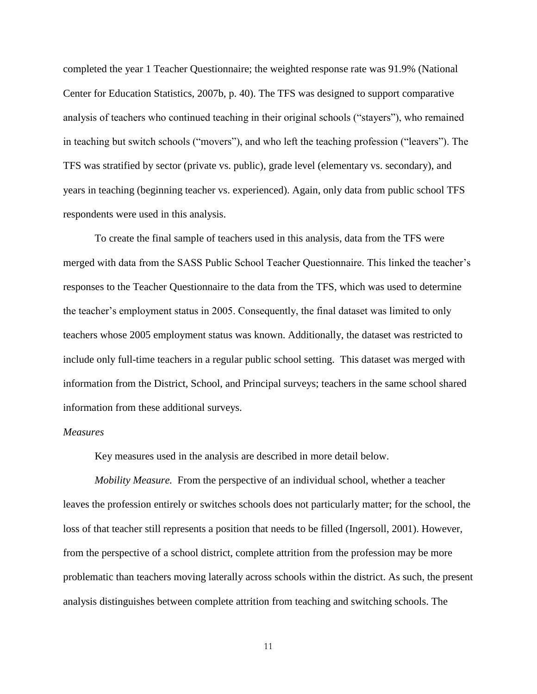completed the year 1 Teacher Questionnaire; the weighted response rate was 91.9% (National Center for Education Statistics, 2007b, p. 40). The TFS was designed to support comparative analysis of teachers who continued teaching in their original schools ("stayers"), who remained in teaching but switch schools ("movers"), and who left the teaching profession ("leavers"). The TFS was stratified by sector (private vs. public), grade level (elementary vs. secondary), and years in teaching (beginning teacher vs. experienced). Again, only data from public school TFS respondents were used in this analysis.

To create the final sample of teachers used in this analysis, data from the TFS were merged with data from the SASS Public School Teacher Questionnaire. This linked the teacher's responses to the Teacher Questionnaire to the data from the TFS, which was used to determine the teacher's employment status in 2005. Consequently, the final dataset was limited to only teachers whose 2005 employment status was known. Additionally, the dataset was restricted to include only full-time teachers in a regular public school setting. This dataset was merged with information from the District, School, and Principal surveys; teachers in the same school shared information from these additional surveys.

#### *Measures*

Key measures used in the analysis are described in more detail below.

*Mobility Measure.* From the perspective of an individual school, whether a teacher leaves the profession entirely or switches schools does not particularly matter; for the school, the loss of that teacher still represents a position that needs to be filled (Ingersoll, 2001). However, from the perspective of a school district, complete attrition from the profession may be more problematic than teachers moving laterally across schools within the district. As such, the present analysis distinguishes between complete attrition from teaching and switching schools. The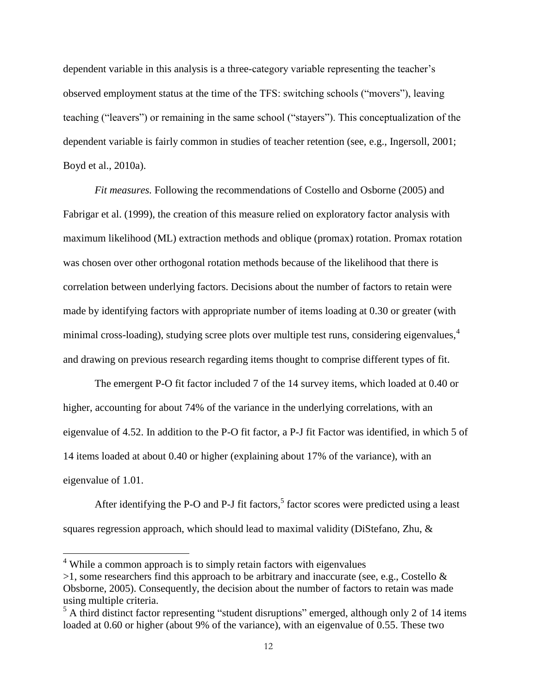dependent variable in this analysis is a three-category variable representing the teacher's observed employment status at the time of the TFS: switching schools ("movers"), leaving teaching ("leavers") or remaining in the same school ("stayers"). This conceptualization of the dependent variable is fairly common in studies of teacher retention (see, e.g., Ingersoll, 2001; Boyd et al., 2010a).

*Fit measures.* Following the recommendations of Costello and Osborne (2005) and Fabrigar et al. (1999), the creation of this measure relied on exploratory factor analysis with maximum likelihood (ML) extraction methods and oblique (promax) rotation. Promax rotation was chosen over other orthogonal rotation methods because of the likelihood that there is correlation between underlying factors. Decisions about the number of factors to retain were made by identifying factors with appropriate number of items loading at 0.30 or greater (with minimal cross-loading), studying scree plots over multiple test runs, considering eigenvalues.<sup>4</sup> and drawing on previous research regarding items thought to comprise different types of fit.

The emergent P-O fit factor included 7 of the 14 survey items, which loaded at 0.40 or higher, accounting for about 74% of the variance in the underlying correlations, with an eigenvalue of 4.52. In addition to the P-O fit factor, a P-J fit Factor was identified, in which 5 of 14 items loaded at about 0.40 or higher (explaining about 17% of the variance), with an eigenvalue of 1.01.

After identifying the P-O and P-J fit factors,<sup>5</sup> factor scores were predicted using a least squares regression approach, which should lead to maximal validity (DiStefano, Zhu, &

<sup>&</sup>lt;sup>4</sup> While a common approach is to simply retain factors with eigenvalues

 $>1$ , some researchers find this approach to be arbitrary and inaccurate (see, e.g., Costello & Obsborne, 2005). Consequently, the decision about the number of factors to retain was made using multiple criteria.

<sup>&</sup>lt;sup>5</sup> A third distinct factor representing "student disruptions" emerged, although only 2 of 14 items loaded at 0.60 or higher (about 9% of the variance), with an eigenvalue of 0.55. These two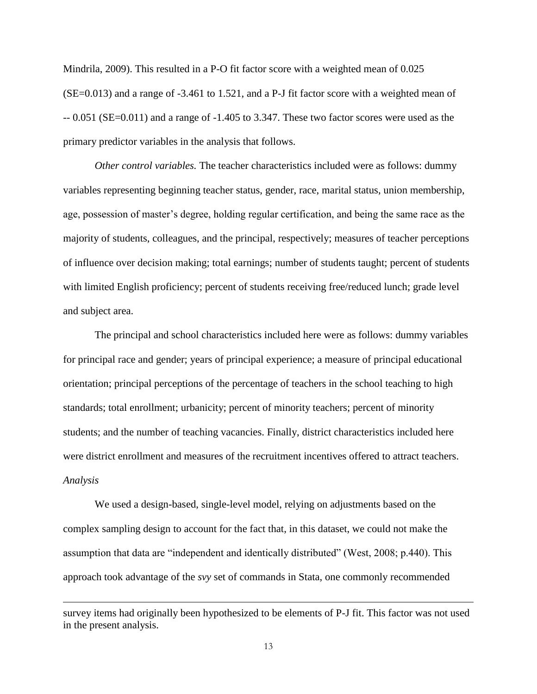Mindrila, 2009). This resulted in a P-O fit factor score with a weighted mean of 0.025  $(SE=0.013)$  and a range of  $-3.461$  to 1.521, and a P-J fit factor score with a weighted mean of  $-0.051$  (SE=0.011) and a range of  $-1.405$  to 3.347. These two factor scores were used as the primary predictor variables in the analysis that follows.

*Other control variables.* The teacher characteristics included were as follows: dummy variables representing beginning teacher status, gender, race, marital status, union membership, age, possession of master's degree, holding regular certification, and being the same race as the majority of students, colleagues, and the principal, respectively; measures of teacher perceptions of influence over decision making; total earnings; number of students taught; percent of students with limited English proficiency; percent of students receiving free/reduced lunch; grade level and subject area.

The principal and school characteristics included here were as follows: dummy variables for principal race and gender; years of principal experience; a measure of principal educational orientation; principal perceptions of the percentage of teachers in the school teaching to high standards; total enrollment; urbanicity; percent of minority teachers; percent of minority students; and the number of teaching vacancies. Finally, district characteristics included here were district enrollment and measures of the recruitment incentives offered to attract teachers. *Analysis*

We used a design-based, single-level model, relying on adjustments based on the complex sampling design to account for the fact that, in this dataset, we could not make the assumption that data are "independent and identically distributed" (West, 2008; p.440). This approach took advantage of the *svy* set of commands in Stata, one commonly recommended

survey items had originally been hypothesized to be elements of P-J fit. This factor was not used in the present analysis.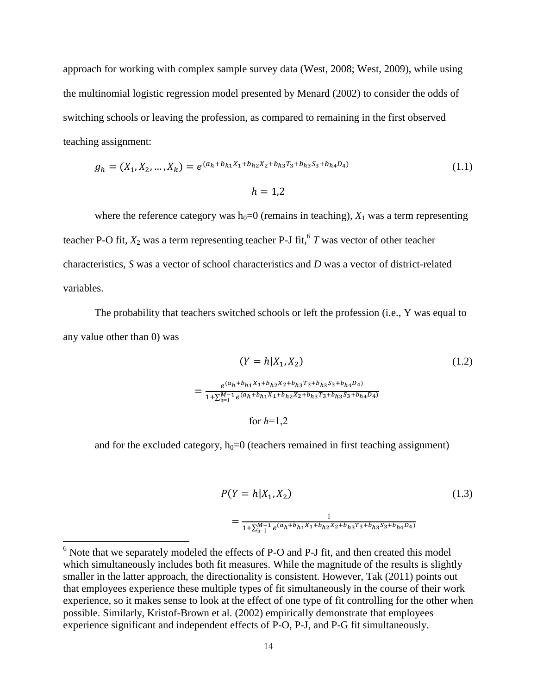approach for working with complex sample survey data (West, 2008; West, 2009), while using the multinomial logistic regression model presented by Menard (2002) to consider the odds of switching schools or leaving the profession, as compared to remaining in the first observed teaching assignment:

$$
g_h = (X_1, X_2, ..., X_k) = e^{(a_h + b_{h1}X_1 + b_{h2}X_2 + b_{h3}T_3 + b_{h3}S_3 + b_{h4}D_4)}
$$
\n
$$
h = 1,2
$$
\n(1.1)

where the reference category was  $h_0=0$  (remains in teaching),  $X_1$  was a term representing teacher P-O fit,  $X_2$  was a term representing teacher P-J fit,  $6T$  was vector of other teacher characteristics, *S* was a vector of school characteristics and *D* was a vector of district-related variables.

The probability that teachers switched schools or left the profession (i.e., Y was equal to any value other than 0) was

$$
(Y = h|X_1, X_2)
$$
\n
$$
= \frac{e^{(a_h + b_{h1}X_1 + b_{h2}X_2 + b_{h3}T_3 + b_{h3}S_3 + b_{h4}D_4)}}{1 + \sum_{h=1}^{M-1} e^{(a_h + b_{h1}X_1 + b_{h2}X_2 + b_{h3}T_3 + b_{h3}S_3 + b_{h4}D_4)}}
$$
\nfor  $h=1,2$  (1.2)

and for the excluded category,  $h_0=0$  (teachers remained in first teaching assignment)

$$
P(Y = h|X_1, X_2)
$$
\n
$$
= \frac{1}{1 + \sum_{h=1}^{M-1} e^{(a_h + b_{h1}X_1 + b_{h2}X_2 + b_{h3}T_3 + b_{h3}S_3 + b_{h4}D_4)}}
$$
\n(1.3)

 $6$  Note that we separately modeled the effects of P-O and P-J fit, and then created this model which simultaneously includes both fit measures. While the magnitude of the results is slightly smaller in the latter approach, the directionality is consistent. However, Tak (2011) points out that employees experience these multiple types of fit simultaneously in the course of their work experience, so it makes sense to look at the effect of one type of fit controlling for the other when possible. Similarly, Kristof-Brown et al. (2002) empirically demonstrate that employees experience significant and independent effects of P-O, P-J, and P-G fit simultaneously.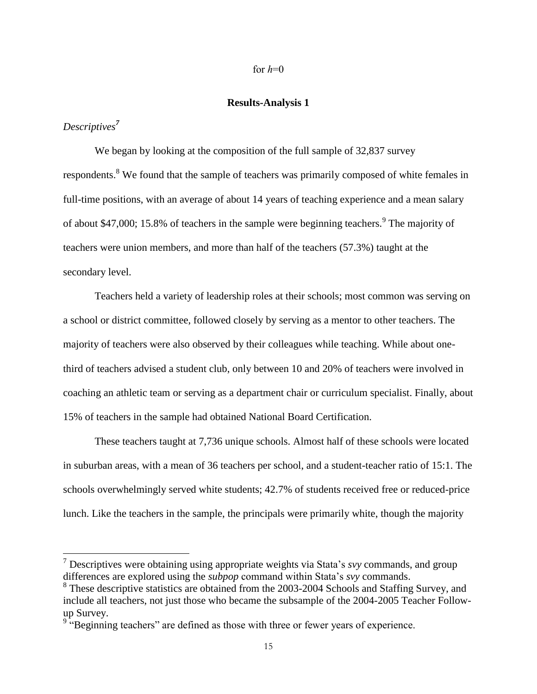#### for  $h=0$

#### **Results-Analysis 1**

*Descriptives<sup>7</sup>*

 $\overline{a}$ 

We began by looking at the composition of the full sample of 32,837 survey respondents.<sup>8</sup> We found that the sample of teachers was primarily composed of white females in full-time positions, with an average of about 14 years of teaching experience and a mean salary of about \$47,000; 15.8% of teachers in the sample were beginning teachers. <sup>9</sup> The majority of teachers were union members, and more than half of the teachers (57.3%) taught at the secondary level.

Teachers held a variety of leadership roles at their schools; most common was serving on a school or district committee, followed closely by serving as a mentor to other teachers. The majority of teachers were also observed by their colleagues while teaching. While about onethird of teachers advised a student club, only between 10 and 20% of teachers were involved in coaching an athletic team or serving as a department chair or curriculum specialist. Finally, about 15% of teachers in the sample had obtained National Board Certification.

These teachers taught at 7,736 unique schools. Almost half of these schools were located in suburban areas, with a mean of 36 teachers per school, and a student-teacher ratio of 15:1. The schools overwhelmingly served white students; 42.7% of students received free or reduced-price lunch. Like the teachers in the sample, the principals were primarily white, though the majority

<sup>7</sup> Descriptives were obtaining using appropriate weights via Stata's *svy* commands, and group differences are explored using the *subpop* command within Stata's *svy* commands.

<sup>&</sup>lt;sup>8</sup> These descriptive statistics are obtained from the 2003-2004 Schools and Staffing Survey, and include all teachers, not just those who became the subsample of the 2004-2005 Teacher Followup Survey.

<sup>&</sup>lt;sup>9 "</sup>Beginning teachers" are defined as those with three or fewer years of experience.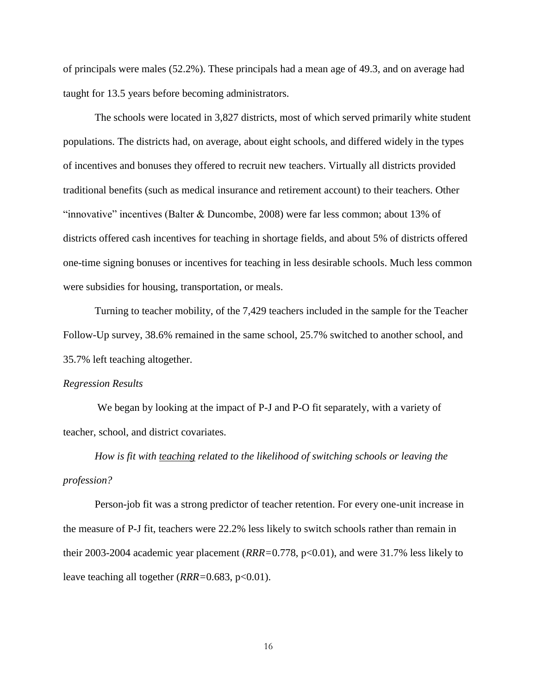of principals were males (52.2%). These principals had a mean age of 49.3, and on average had taught for 13.5 years before becoming administrators.

The schools were located in 3,827 districts, most of which served primarily white student populations. The districts had, on average, about eight schools, and differed widely in the types of incentives and bonuses they offered to recruit new teachers. Virtually all districts provided traditional benefits (such as medical insurance and retirement account) to their teachers. Other "innovative" incentives (Balter & Duncombe, 2008) were far less common; about 13% of districts offered cash incentives for teaching in shortage fields, and about 5% of districts offered one-time signing bonuses or incentives for teaching in less desirable schools. Much less common were subsidies for housing, transportation, or meals.

Turning to teacher mobility, of the 7,429 teachers included in the sample for the Teacher Follow-Up survey, 38.6% remained in the same school, 25.7% switched to another school, and 35.7% left teaching altogether.

#### *Regression Results*

We began by looking at the impact of P-J and P-O fit separately, with a variety of teacher, school, and district covariates.

*How is fit with teaching related to the likelihood of switching schools or leaving the profession?*

Person-job fit was a strong predictor of teacher retention. For every one-unit increase in the measure of P-J fit, teachers were 22.2% less likely to switch schools rather than remain in their 2003-2004 academic year placement (*RRR=*0.778, p<0.01), and were 31.7% less likely to leave teaching all together (*RRR=*0.683, p<0.01).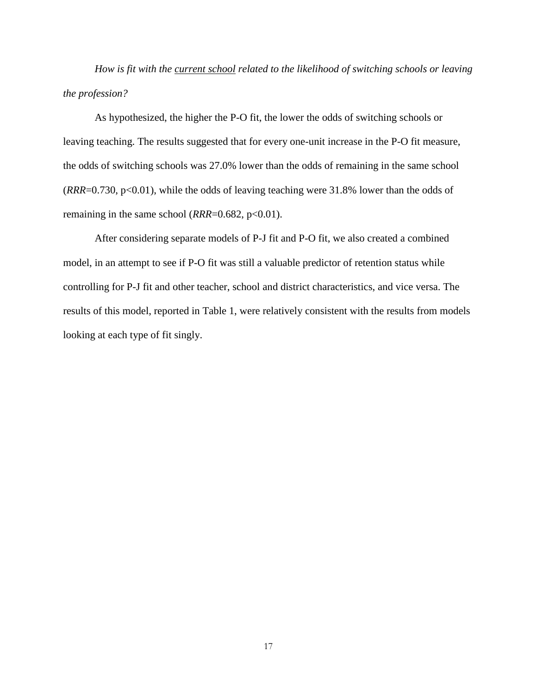*How is fit with the current school related to the likelihood of switching schools or leaving the profession?*

As hypothesized, the higher the P-O fit, the lower the odds of switching schools or leaving teaching. The results suggested that for every one-unit increase in the P-O fit measure, the odds of switching schools was 27.0% lower than the odds of remaining in the same school  $(RRR=0.730, p<0.01)$ , while the odds of leaving teaching were 31.8% lower than the odds of remaining in the same school  $(RRR=0.682, p<0.01)$ .

After considering separate models of P-J fit and P-O fit, we also created a combined model, in an attempt to see if P-O fit was still a valuable predictor of retention status while controlling for P-J fit and other teacher, school and district characteristics, and vice versa. The results of this model, reported in Table 1, were relatively consistent with the results from models looking at each type of fit singly.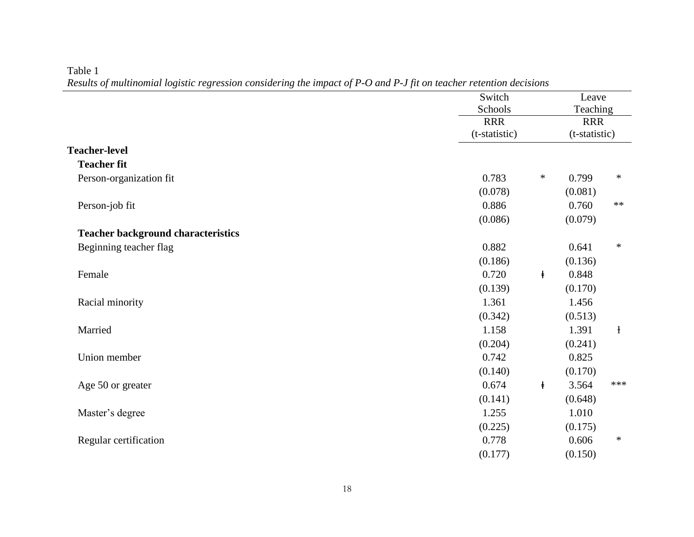|                                           | Switch<br>Schools           |                     | Leave<br>Teaching<br><b>RRR</b><br>(t-statistic) |  |
|-------------------------------------------|-----------------------------|---------------------|--------------------------------------------------|--|
|                                           | <b>RRR</b><br>(t-statistic) |                     |                                                  |  |
| <b>Teacher-level</b>                      |                             |                     |                                                  |  |
| <b>Teacher fit</b>                        |                             |                     |                                                  |  |
| Person-organization fit                   | 0.783                       | $\ast$<br>0.799     | $\ast$                                           |  |
|                                           | (0.078)                     | (0.081)             |                                                  |  |
| Person-job fit                            | 0.886                       | 0.760               | $**$                                             |  |
|                                           | (0.086)                     | (0.079)             |                                                  |  |
| <b>Teacher background characteristics</b> |                             |                     |                                                  |  |
| Beginning teacher flag                    | 0.882                       | 0.641               | $\ast$                                           |  |
|                                           | (0.186)                     | (0.136)             |                                                  |  |
| Female                                    | 0.720                       | 0.848<br>$\ddagger$ |                                                  |  |
|                                           | (0.139)                     | (0.170)             |                                                  |  |
| Racial minority                           | 1.361                       | 1.456               |                                                  |  |
|                                           | (0.342)                     | (0.513)             |                                                  |  |
| Married                                   | 1.158                       | 1.391               | $\mathbf{1}$                                     |  |
|                                           | (0.204)                     | (0.241)             |                                                  |  |
| Union member                              | 0.742                       | 0.825               |                                                  |  |
|                                           | (0.140)                     | (0.170)             |                                                  |  |
| Age 50 or greater                         | 0.674                       | 3.564<br>$\ddagger$ | ***                                              |  |
|                                           | (0.141)                     | (0.648)             |                                                  |  |
| Master's degree                           | 1.255                       | 1.010               |                                                  |  |
|                                           | (0.225)                     | (0.175)             |                                                  |  |
| Regular certification                     | 0.778                       | 0.606               | $\ast$                                           |  |
|                                           | (0.177)                     | (0.150)             |                                                  |  |

#### Table 1

*Results of multinomial logistic regression considering the impact of P-O and P-J fit on teacher retention decisions*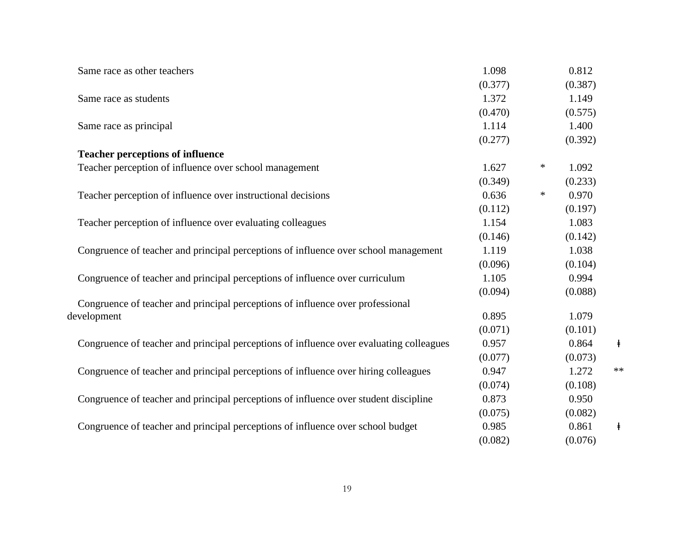| Same race as other teachers                                                             | 1.098   |        | 0.812   |            |
|-----------------------------------------------------------------------------------------|---------|--------|---------|------------|
|                                                                                         | (0.377) |        | (0.387) |            |
| Same race as students                                                                   | 1.372   |        | 1.149   |            |
|                                                                                         | (0.470) |        | (0.575) |            |
| Same race as principal                                                                  | 1.114   |        | 1.400   |            |
|                                                                                         | (0.277) |        | (0.392) |            |
| <b>Teacher perceptions of influence</b>                                                 |         |        |         |            |
| Teacher perception of influence over school management                                  | 1.627   | *      | 1.092   |            |
|                                                                                         | (0.349) |        | (0.233) |            |
| Teacher perception of influence over instructional decisions                            | 0.636   | $\ast$ | 0.970   |            |
|                                                                                         | (0.112) |        | (0.197) |            |
| Teacher perception of influence over evaluating colleagues                              | 1.154   |        | 1.083   |            |
|                                                                                         | (0.146) |        | (0.142) |            |
| Congruence of teacher and principal perceptions of influence over school management     | 1.119   |        | 1.038   |            |
|                                                                                         | (0.096) |        | (0.104) |            |
| Congruence of teacher and principal perceptions of influence over curriculum            | 1.105   |        | 0.994   |            |
|                                                                                         | (0.094) |        | (0.088) |            |
| Congruence of teacher and principal perceptions of influence over professional          |         |        |         |            |
| development                                                                             | 0.895   |        | 1.079   |            |
|                                                                                         | (0.071) |        | (0.101) |            |
| Congruence of teacher and principal perceptions of influence over evaluating colleagues | 0.957   |        | 0.864   | $\ddagger$ |
|                                                                                         | (0.077) |        | (0.073) |            |
| Congruence of teacher and principal perceptions of influence over hiring colleagues     | 0.947   |        | 1.272   | $**$       |
|                                                                                         | (0.074) |        | (0.108) |            |
| Congruence of teacher and principal perceptions of influence over student discipline    | 0.873   |        | 0.950   |            |
|                                                                                         | (0.075) |        | (0.082) |            |
| Congruence of teacher and principal perceptions of influence over school budget         | 0.985   |        | 0.861   | $\ddagger$ |
|                                                                                         | (0.082) |        | (0.076) |            |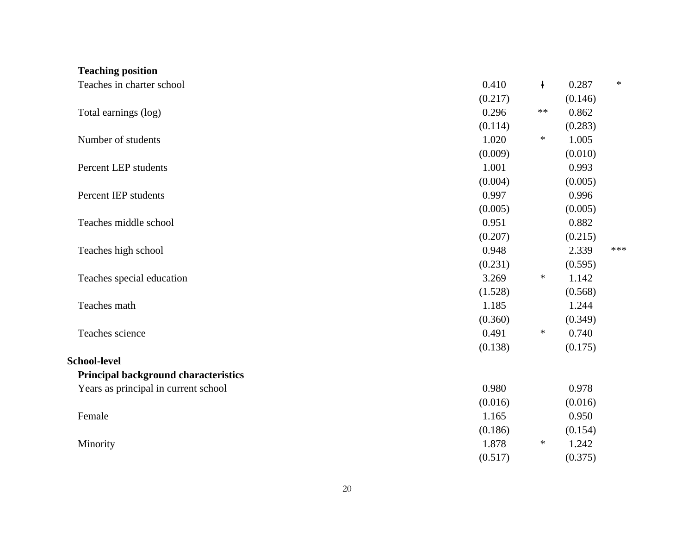| <b>Teaching position</b>             |         |            |         |        |
|--------------------------------------|---------|------------|---------|--------|
| Teaches in charter school            | 0.410   | $\ddagger$ | 0.287   | $\ast$ |
|                                      | (0.217) |            | (0.146) |        |
| Total earnings (log)                 | 0.296   | $***$      | 0.862   |        |
|                                      | (0.114) |            | (0.283) |        |
| Number of students                   | 1.020   | $\ast$     | 1.005   |        |
|                                      | (0.009) |            | (0.010) |        |
| Percent LEP students                 | 1.001   |            | 0.993   |        |
|                                      | (0.004) |            | (0.005) |        |
| Percent IEP students                 | 0.997   |            | 0.996   |        |
|                                      | (0.005) |            | (0.005) |        |
| Teaches middle school                | 0.951   |            | 0.882   |        |
|                                      | (0.207) |            | (0.215) |        |
| Teaches high school                  | 0.948   |            | 2.339   | ***    |
|                                      | (0.231) |            | (0.595) |        |
| Teaches special education            | 3.269   | $\ast$     | 1.142   |        |
|                                      | (1.528) |            | (0.568) |        |
| Teaches math                         | 1.185   |            | 1.244   |        |
|                                      | (0.360) |            | (0.349) |        |
| Teaches science                      | 0.491   | $\ast$     | 0.740   |        |
|                                      | (0.138) |            | (0.175) |        |
| <b>School-level</b>                  |         |            |         |        |
| Principal background characteristics |         |            |         |        |
| Years as principal in current school | 0.980   |            | 0.978   |        |
|                                      | (0.016) |            | (0.016) |        |
| Female                               | 1.165   |            | 0.950   |        |
|                                      | (0.186) |            | (0.154) |        |
| Minority                             | 1.878   | $\ast$     | 1.242   |        |
|                                      | (0.517) |            | (0.375) |        |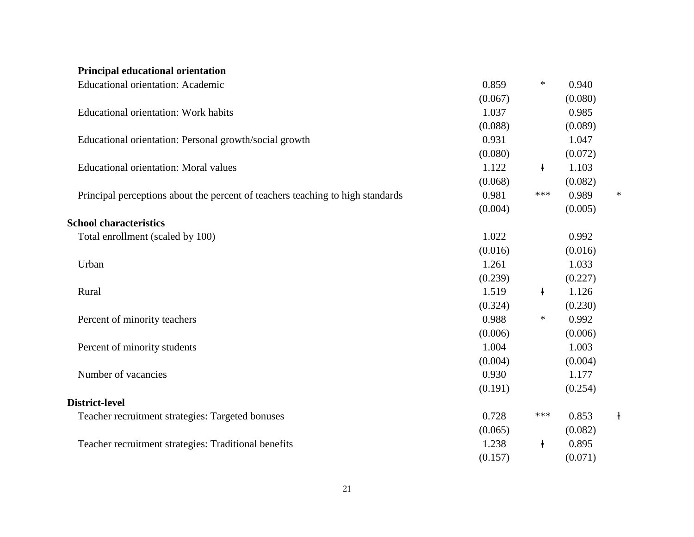| <b>Educational orientation: Academic</b>                                       | 0.859   | $\ast$     | 0.940   |              |
|--------------------------------------------------------------------------------|---------|------------|---------|--------------|
|                                                                                | (0.067) |            | (0.080) |              |
| <b>Educational orientation: Work habits</b>                                    | 1.037   |            | 0.985   |              |
|                                                                                | (0.088) |            | (0.089) |              |
| Educational orientation: Personal growth/social growth                         | 0.931   |            | 1.047   |              |
|                                                                                | (0.080) |            | (0.072) |              |
| <b>Educational orientation: Moral values</b>                                   | 1.122   | $\ddagger$ | 1.103   |              |
|                                                                                | (0.068) |            | (0.082) |              |
| Principal perceptions about the percent of teachers teaching to high standards | 0.981   | ***        | 0.989   | ∗            |
|                                                                                | (0.004) |            | (0.005) |              |
| <b>School characteristics</b>                                                  |         |            |         |              |
| Total enrollment (scaled by 100)                                               | 1.022   |            | 0.992   |              |
|                                                                                | (0.016) |            | (0.016) |              |
| Urban                                                                          | 1.261   |            | 1.033   |              |
|                                                                                | (0.239) |            | (0.227) |              |
| Rural                                                                          | 1.519   | $\ddagger$ | 1.126   |              |
|                                                                                | (0.324) |            | (0.230) |              |
| Percent of minority teachers                                                   | 0.988   | $\ast$     | 0.992   |              |
|                                                                                | (0.006) |            | (0.006) |              |
| Percent of minority students                                                   | 1.004   |            | 1.003   |              |
|                                                                                | (0.004) |            | (0.004) |              |
| Number of vacancies                                                            | 0.930   |            | 1.177   |              |
|                                                                                | (0.191) |            | (0.254) |              |
| District-level                                                                 |         |            |         |              |
| Teacher recruitment strategies: Targeted bonuses                               | 0.728   | ***        | 0.853   | $\mathbf{1}$ |
|                                                                                | (0.065) |            | (0.082) |              |
| Teacher recruitment strategies: Traditional benefits                           | 1.238   | $\ddagger$ | 0.895   |              |
|                                                                                | (0.157) |            | (0.071) |              |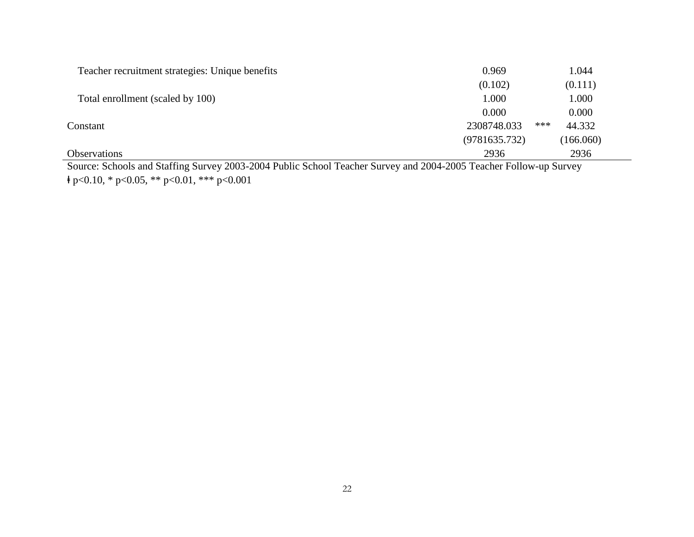| 0.969         | 1.044         |
|---------------|---------------|
| (0.102)       | (0.111)       |
| 1.000         | 1.000         |
| 0.000         | 0.000         |
| 2308748.033   | ***<br>44.332 |
| (9781635.732) | (166.060)     |
| 2936          | 2936          |
|               |               |

Source: Schools and Staffing Survey 2003-2004 Public School Teacher Survey and 2004-2005 Teacher Follow-up Survey  $\frac{1}{2}$  p<0.10, \* p<0.05, \*\* p<0.01, \*\*\* p<0.001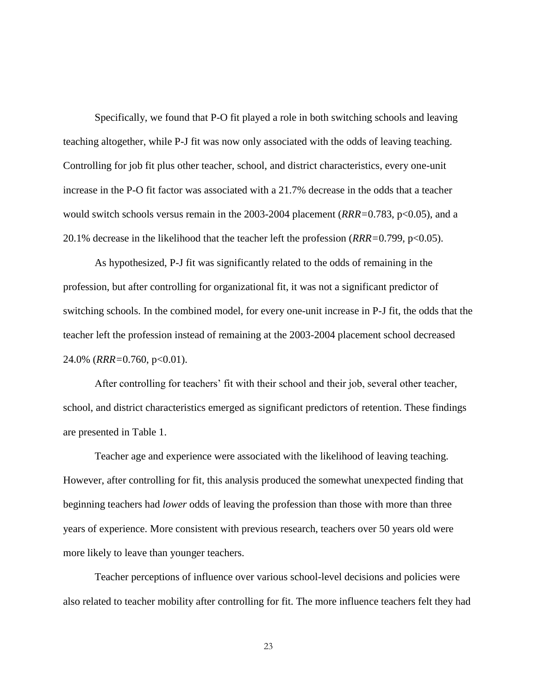Specifically, we found that P-O fit played a role in both switching schools and leaving teaching altogether, while P-J fit was now only associated with the odds of leaving teaching. Controlling for job fit plus other teacher, school, and district characteristics, every one-unit increase in the P-O fit factor was associated with a 21.7% decrease in the odds that a teacher would switch schools versus remain in the 2003-2004 placement (*RRR*=0.783, p<0.05), and a 20.1% decrease in the likelihood that the teacher left the profession (*RRR=*0.799, p<0.05).

As hypothesized, P-J fit was significantly related to the odds of remaining in the profession, but after controlling for organizational fit, it was not a significant predictor of switching schools. In the combined model, for every one-unit increase in P-J fit, the odds that the teacher left the profession instead of remaining at the 2003-2004 placement school decreased 24.0% (*RRR=*0.760, p<0.01).

After controlling for teachers' fit with their school and their job, several other teacher, school, and district characteristics emerged as significant predictors of retention. These findings are presented in Table 1.

Teacher age and experience were associated with the likelihood of leaving teaching. However, after controlling for fit, this analysis produced the somewhat unexpected finding that beginning teachers had *lower* odds of leaving the profession than those with more than three years of experience. More consistent with previous research, teachers over 50 years old were more likely to leave than younger teachers.

Teacher perceptions of influence over various school-level decisions and policies were also related to teacher mobility after controlling for fit. The more influence teachers felt they had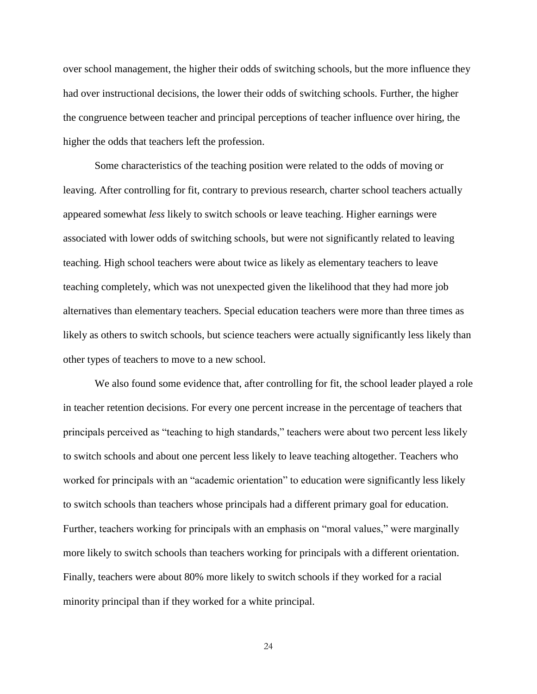over school management, the higher their odds of switching schools, but the more influence they had over instructional decisions, the lower their odds of switching schools. Further, the higher the congruence between teacher and principal perceptions of teacher influence over hiring, the higher the odds that teachers left the profession.

Some characteristics of the teaching position were related to the odds of moving or leaving. After controlling for fit, contrary to previous research, charter school teachers actually appeared somewhat *less* likely to switch schools or leave teaching. Higher earnings were associated with lower odds of switching schools, but were not significantly related to leaving teaching. High school teachers were about twice as likely as elementary teachers to leave teaching completely, which was not unexpected given the likelihood that they had more job alternatives than elementary teachers. Special education teachers were more than three times as likely as others to switch schools, but science teachers were actually significantly less likely than other types of teachers to move to a new school.

We also found some evidence that, after controlling for fit, the school leader played a role in teacher retention decisions. For every one percent increase in the percentage of teachers that principals perceived as "teaching to high standards," teachers were about two percent less likely to switch schools and about one percent less likely to leave teaching altogether. Teachers who worked for principals with an "academic orientation" to education were significantly less likely to switch schools than teachers whose principals had a different primary goal for education. Further, teachers working for principals with an emphasis on "moral values," were marginally more likely to switch schools than teachers working for principals with a different orientation. Finally, teachers were about 80% more likely to switch schools if they worked for a racial minority principal than if they worked for a white principal.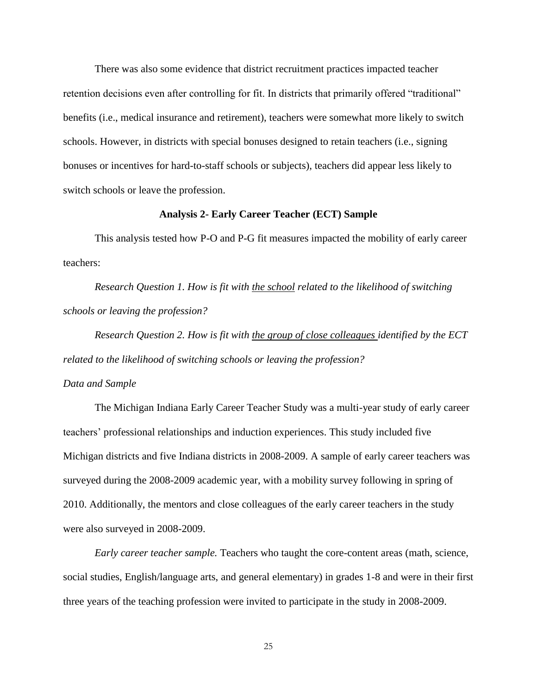There was also some evidence that district recruitment practices impacted teacher retention decisions even after controlling for fit. In districts that primarily offered "traditional" benefits (i.e., medical insurance and retirement), teachers were somewhat more likely to switch schools. However, in districts with special bonuses designed to retain teachers (i.e., signing bonuses or incentives for hard-to-staff schools or subjects), teachers did appear less likely to switch schools or leave the profession.

#### **Analysis 2- Early Career Teacher (ECT) Sample**

This analysis tested how P-O and P-G fit measures impacted the mobility of early career teachers:

*Research Question 1. How is fit with the school related to the likelihood of switching schools or leaving the profession?*

*Research Question 2. How is fit with the group of close colleagues identified by the ECT related to the likelihood of switching schools or leaving the profession?*

#### *Data and Sample*

The Michigan Indiana Early Career Teacher Study was a multi-year study of early career teachers' professional relationships and induction experiences. This study included five Michigan districts and five Indiana districts in 2008-2009. A sample of early career teachers was surveyed during the 2008-2009 academic year, with a mobility survey following in spring of 2010. Additionally, the mentors and close colleagues of the early career teachers in the study were also surveyed in 2008-2009.

*Early career teacher sample.* Teachers who taught the core-content areas (math, science, social studies, English/language arts, and general elementary) in grades 1-8 and were in their first three years of the teaching profession were invited to participate in the study in 2008-2009.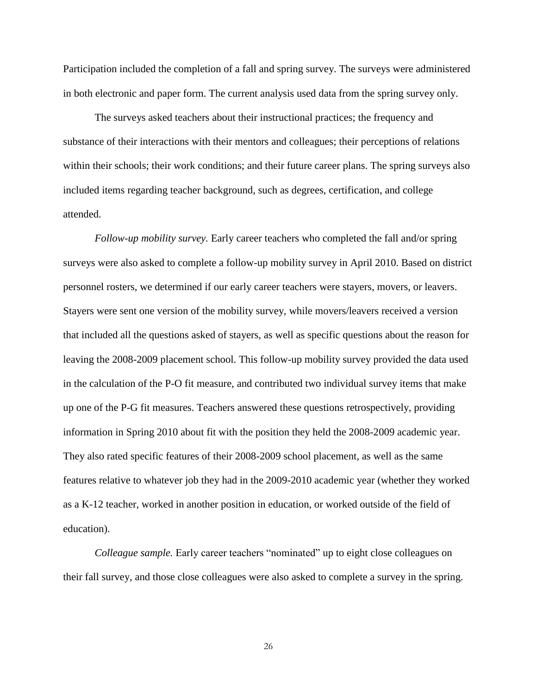Participation included the completion of a fall and spring survey. The surveys were administered in both electronic and paper form. The current analysis used data from the spring survey only.

The surveys asked teachers about their instructional practices; the frequency and substance of their interactions with their mentors and colleagues; their perceptions of relations within their schools; their work conditions; and their future career plans. The spring surveys also included items regarding teacher background, such as degrees, certification, and college attended.

*Follow-up mobility survey.* Early career teachers who completed the fall and/or spring surveys were also asked to complete a follow-up mobility survey in April 2010. Based on district personnel rosters, we determined if our early career teachers were stayers, movers, or leavers. Stayers were sent one version of the mobility survey, while movers/leavers received a version that included all the questions asked of stayers, as well as specific questions about the reason for leaving the 2008-2009 placement school. This follow-up mobility survey provided the data used in the calculation of the P-O fit measure, and contributed two individual survey items that make up one of the P-G fit measures. Teachers answered these questions retrospectively, providing information in Spring 2010 about fit with the position they held the 2008-2009 academic year. They also rated specific features of their 2008-2009 school placement, as well as the same features relative to whatever job they had in the 2009-2010 academic year (whether they worked as a K-12 teacher, worked in another position in education, or worked outside of the field of education).

*Colleague sample.* Early career teachers "nominated" up to eight close colleagues on their fall survey, and those close colleagues were also asked to complete a survey in the spring.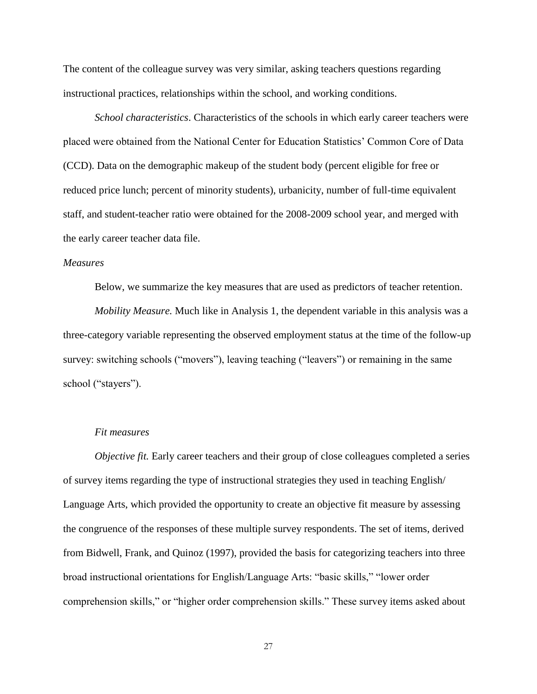The content of the colleague survey was very similar, asking teachers questions regarding instructional practices, relationships within the school, and working conditions.

*School characteristics*. Characteristics of the schools in which early career teachers were placed were obtained from the National Center for Education Statistics' Common Core of Data (CCD). Data on the demographic makeup of the student body (percent eligible for free or reduced price lunch; percent of minority students), urbanicity, number of full-time equivalent staff, and student-teacher ratio were obtained for the 2008-2009 school year, and merged with the early career teacher data file.

#### *Measures*

Below, we summarize the key measures that are used as predictors of teacher retention.

*Mobility Measure.* Much like in Analysis 1, the dependent variable in this analysis was a three-category variable representing the observed employment status at the time of the follow-up survey: switching schools ("movers"), leaving teaching ("leavers") or remaining in the same school ("stayers").

#### *Fit measures*

*Objective fit.* Early career teachers and their group of close colleagues completed a series of survey items regarding the type of instructional strategies they used in teaching English/ Language Arts, which provided the opportunity to create an objective fit measure by assessing the congruence of the responses of these multiple survey respondents. The set of items, derived from Bidwell, Frank, and Quinoz (1997), provided the basis for categorizing teachers into three broad instructional orientations for English/Language Arts: "basic skills," "lower order comprehension skills," or "higher order comprehension skills." These survey items asked about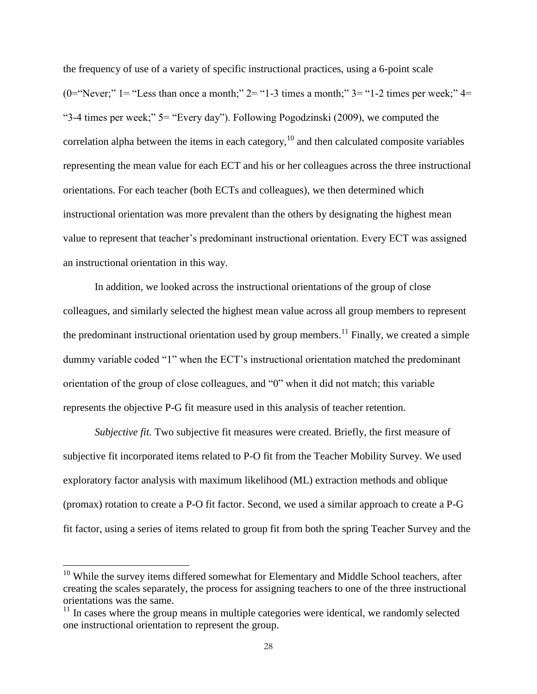the frequency of use of a variety of specific instructional practices, using a 6-point scale (0="Never;" 1 = "Less than once a month;" 2 = "1-3 times a month;" 3 = "1-2 times per week;" 4 = "3-4 times per week;"  $5 =$  "Every day"). Following Pogodzinski (2009), we computed the correlation alpha between the items in each category, $10$  and then calculated composite variables representing the mean value for each ECT and his or her colleagues across the three instructional orientations. For each teacher (both ECTs and colleagues), we then determined which instructional orientation was more prevalent than the others by designating the highest mean value to represent that teacher's predominant instructional orientation. Every ECT was assigned an instructional orientation in this way.

In addition, we looked across the instructional orientations of the group of close colleagues, and similarly selected the highest mean value across all group members to represent the predominant instructional orientation used by group members.<sup>11</sup> Finally, we created a simple dummy variable coded "1" when the ECT's instructional orientation matched the predominant orientation of the group of close colleagues, and "0" when it did not match; this variable represents the objective P-G fit measure used in this analysis of teacher retention.

*Subjective fit.* Two subjective fit measures were created. Briefly, the first measure of subjective fit incorporated items related to P-O fit from the Teacher Mobility Survey. We used exploratory factor analysis with maximum likelihood (ML) extraction methods and oblique (promax) rotation to create a P-O fit factor. Second, we used a similar approach to create a P-G fit factor, using a series of items related to group fit from both the spring Teacher Survey and the

 $10$  While the survey items differed somewhat for Elementary and Middle School teachers, after creating the scales separately, the process for assigning teachers to one of the three instructional orientations was the same.

 $11$  In cases where the group means in multiple categories were identical, we randomly selected one instructional orientation to represent the group.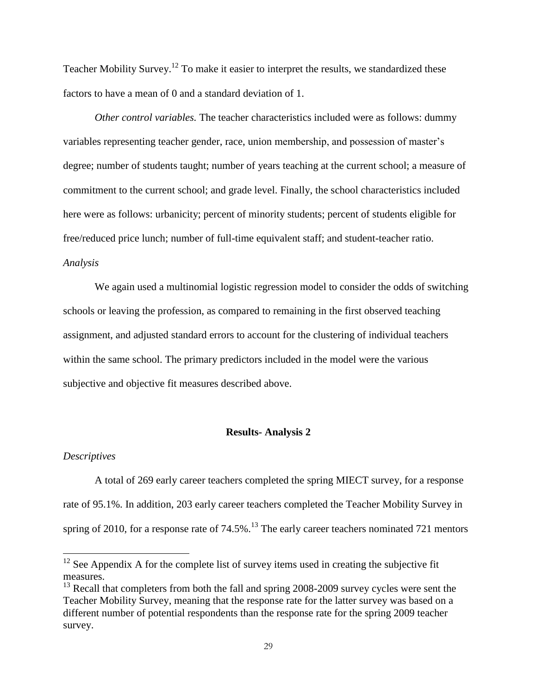Teacher Mobility Survey.<sup>12</sup> To make it easier to interpret the results, we standardized these factors to have a mean of 0 and a standard deviation of 1.

*Other control variables.* The teacher characteristics included were as follows: dummy variables representing teacher gender, race, union membership, and possession of master's degree; number of students taught; number of years teaching at the current school; a measure of commitment to the current school; and grade level. Finally, the school characteristics included here were as follows: urbanicity; percent of minority students; percent of students eligible for free/reduced price lunch; number of full-time equivalent staff; and student-teacher ratio. *Analysis*

We again used a multinomial logistic regression model to consider the odds of switching schools or leaving the profession, as compared to remaining in the first observed teaching assignment, and adjusted standard errors to account for the clustering of individual teachers within the same school. The primary predictors included in the model were the various subjective and objective fit measures described above.

#### **Results- Analysis 2**

#### *Descriptives*

 $\overline{a}$ 

A total of 269 early career teachers completed the spring MIECT survey, for a response rate of 95.1%. In addition, 203 early career teachers completed the Teacher Mobility Survey in spring of 2010, for a response rate of  $74.5\%$ .<sup>13</sup> The early career teachers nominated 721 mentors

 $12$  See Appendix A for the complete list of survey items used in creating the subjective fit measures.

 $^{13}$  Recall that completers from both the fall and spring 2008-2009 survey cycles were sent the Teacher Mobility Survey, meaning that the response rate for the latter survey was based on a different number of potential respondents than the response rate for the spring 2009 teacher survey.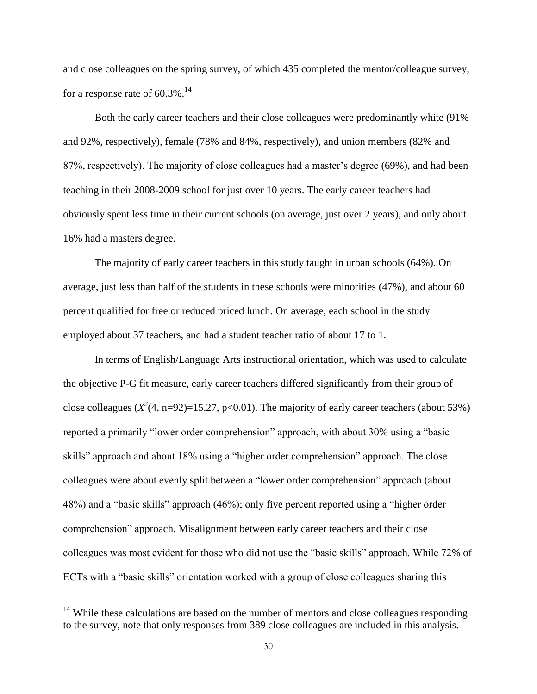and close colleagues on the spring survey, of which 435 completed the mentor/colleague survey, for a response rate of  $60.3\%$ .<sup>14</sup>

Both the early career teachers and their close colleagues were predominantly white (91% and 92%, respectively), female (78% and 84%, respectively), and union members (82% and 87%, respectively). The majority of close colleagues had a master's degree (69%), and had been teaching in their 2008-2009 school for just over 10 years. The early career teachers had obviously spent less time in their current schools (on average, just over 2 years), and only about 16% had a masters degree.

The majority of early career teachers in this study taught in urban schools (64%). On average, just less than half of the students in these schools were minorities (47%), and about 60 percent qualified for free or reduced priced lunch. On average, each school in the study employed about 37 teachers, and had a student teacher ratio of about 17 to 1.

In terms of English/Language Arts instructional orientation, which was used to calculate the objective P-G fit measure, early career teachers differed significantly from their group of close colleagues  $(X^2(4, n=92)=15.27, p<0.01)$ . The majority of early career teachers (about 53%) reported a primarily "lower order comprehension" approach, with about 30% using a "basic skills" approach and about 18% using a "higher order comprehension" approach. The close colleagues were about evenly split between a "lower order comprehension" approach (about 48%) and a "basic skills" approach (46%); only five percent reported using a "higher order comprehension" approach. Misalignment between early career teachers and their close colleagues was most evident for those who did not use the "basic skills" approach. While 72% of ECTs with a "basic skills" orientation worked with a group of close colleagues sharing this

 $14$  While these calculations are based on the number of mentors and close colleagues responding to the survey, note that only responses from 389 close colleagues are included in this analysis.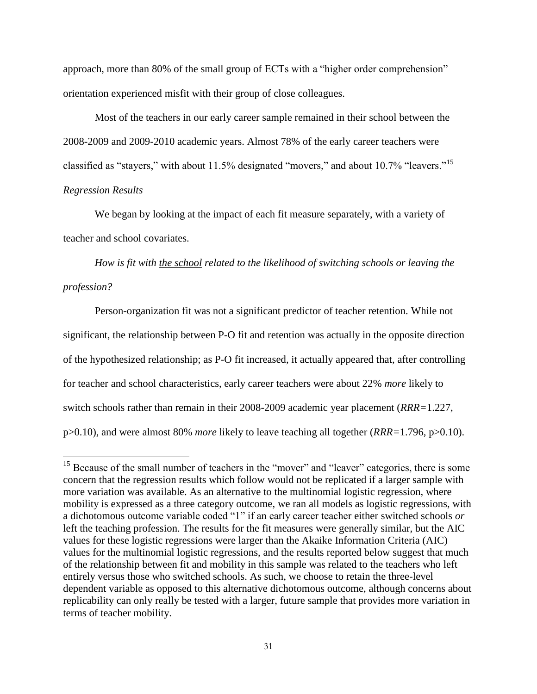approach, more than 80% of the small group of ECTs with a "higher order comprehension" orientation experienced misfit with their group of close colleagues.

Most of the teachers in our early career sample remained in their school between the 2008-2009 and 2009-2010 academic years. Almost 78% of the early career teachers were classified as "stayers," with about 11.5% designated "movers," and about 10.7% "leavers."<sup>15</sup> *Regression Results*

We began by looking at the impact of each fit measure separately, with a variety of teacher and school covariates.

*How is fit with the school related to the likelihood of switching schools or leaving the profession?*

Person-organization fit was not a significant predictor of teacher retention. While not significant, the relationship between P-O fit and retention was actually in the opposite direction of the hypothesized relationship; as P-O fit increased, it actually appeared that, after controlling for teacher and school characteristics, early career teachers were about 22% *more* likely to switch schools rather than remain in their 2008-2009 academic year placement (*RRR=*1.227, p>0.10), and were almost 80% *more* likely to leave teaching all together (*RRR=*1.796, p>0.10).

 $\ddot{\phantom{a}}$ 

<sup>&</sup>lt;sup>15</sup> Because of the small number of teachers in the "mover" and "leaver" categories, there is some concern that the regression results which follow would not be replicated if a larger sample with more variation was available. As an alternative to the multinomial logistic regression, where mobility is expressed as a three category outcome, we ran all models as logistic regressions, with a dichotomous outcome variable coded "1" if an early career teacher either switched schools *or* left the teaching profession. The results for the fit measures were generally similar, but the AIC values for these logistic regressions were larger than the Akaike Information Criteria (AIC) values for the multinomial logistic regressions, and the results reported below suggest that much of the relationship between fit and mobility in this sample was related to the teachers who left entirely versus those who switched schools. As such, we choose to retain the three-level dependent variable as opposed to this alternative dichotomous outcome, although concerns about replicability can only really be tested with a larger, future sample that provides more variation in terms of teacher mobility.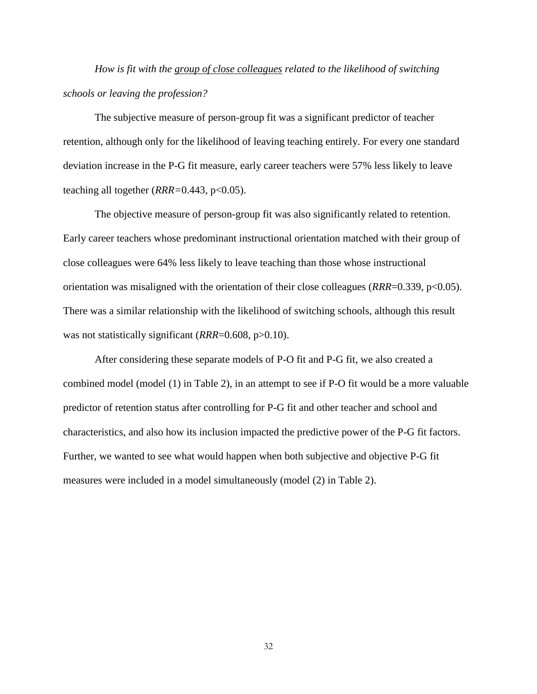*How is fit with the group of close colleagues related to the likelihood of switching schools or leaving the profession?*

The subjective measure of person-group fit was a significant predictor of teacher retention, although only for the likelihood of leaving teaching entirely. For every one standard deviation increase in the P-G fit measure, early career teachers were 57% less likely to leave teaching all together (*RRR*=0.443, p<0.05).

The objective measure of person-group fit was also significantly related to retention. Early career teachers whose predominant instructional orientation matched with their group of close colleagues were 64% less likely to leave teaching than those whose instructional orientation was misaligned with the orientation of their close colleagues (*RRR*=0.339, p<0.05). There was a similar relationship with the likelihood of switching schools, although this result was not statistically significant (*RRR*=0.608, p>0.10).

After considering these separate models of P-O fit and P-G fit, we also created a combined model (model (1) in Table 2), in an attempt to see if P-O fit would be a more valuable predictor of retention status after controlling for P-G fit and other teacher and school and characteristics, and also how its inclusion impacted the predictive power of the P-G fit factors. Further, we wanted to see what would happen when both subjective and objective P-G fit measures were included in a model simultaneously (model (2) in Table 2).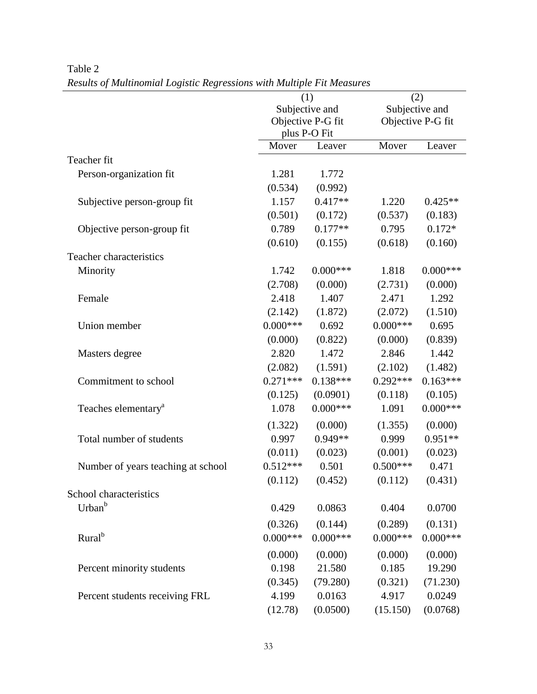|                                    |             | (1)                                 |            | (2)                   |
|------------------------------------|-------------|-------------------------------------|------------|-----------------------|
|                                    |             | Subjective and<br>Objective P-G fit |            | Subjective and        |
|                                    |             |                                     |            | Objective P-G fit     |
|                                    |             | plus P-O Fit                        |            |                       |
|                                    | Mover       | Leaver                              | Mover      | Leaver                |
| Teacher fit                        |             |                                     |            |                       |
| Person-organization fit            | 1.281       | 1.772                               |            |                       |
|                                    | (0.534)     | (0.992)                             |            |                       |
| Subjective person-group fit        | 1.157       | $0.417**$                           | 1.220      | $0.425**$             |
|                                    | (0.501)     | (0.172)                             | (0.537)    | (0.183)               |
| Objective person-group fit         | 0.789       | $0.177**$                           | 0.795      | $0.172*$              |
|                                    | (0.610)     | (0.155)                             | (0.618)    | (0.160)               |
| Teacher characteristics            |             |                                     |            |                       |
| Minority                           | 1.742       | $0.000***$                          | 1.818      | $0.000$ ***           |
|                                    | (2.708)     | (0.000)                             | (2.731)    | (0.000)               |
| Female                             | 2.418       | 1.407                               | 2.471      | 1.292                 |
|                                    | (2.142)     | (1.872)                             | (2.072)    | (1.510)               |
| Union member                       | $0.000***$  | 0.692                               | $0.000***$ | 0.695                 |
|                                    | (0.000)     | (0.822)                             | (0.000)    | (0.839)               |
| Masters degree                     | 2.820       | 1.472                               | 2.846      | 1.442                 |
|                                    | (2.082)     | (1.591)                             | (2.102)    | (1.482)               |
| Commitment to school               | $0.271***$  | $0.138***$                          | $0.292***$ | $0.163***$            |
|                                    | (0.125)     | (0.0901)                            | (0.118)    | (0.105)               |
| Teaches elementary <sup>a</sup>    | 1.078       | $0.000***$                          | 1.091      | $0.000***$            |
|                                    | (1.322)     | (0.000)                             | (1.355)    | (0.000)               |
| Total number of students           | 0.997       | $0.949**$                           | 0.999      | $0.951**$             |
|                                    | (0.011)     | (0.023)                             | (0.001)    | (0.023)               |
| Number of years teaching at school | $0.512***$  | 0.501                               | $0.500***$ | 0.471                 |
|                                    | (0.112)     | (0.452)                             | (0.112)    | (0.431)               |
| School characteristics             |             |                                     |            |                       |
| Urban <sup>b</sup>                 | 0.429       | 0.0863                              | 0.404      | 0.0700                |
|                                    |             |                                     |            |                       |
| Rural <sup>b</sup>                 | (0.326)     | (0.144)                             | (0.289)    | (0.131)<br>$0.000***$ |
|                                    | $0.000$ *** | $0.000***$                          | $0.000***$ |                       |
|                                    | (0.000)     | (0.000)                             | (0.000)    | (0.000)               |
| Percent minority students          | 0.198       | 21.580                              | 0.185      | 19.290                |
|                                    | (0.345)     | (79.280)                            | (0.321)    | (71.230)              |
| Percent students receiving FRL     | 4.199       | 0.0163                              | 4.917      | 0.0249                |
|                                    | (12.78)     | (0.0500)                            | (15.150)   | (0.0768)              |

Table 2 *Results of Multinomial Logistic Regressions with Multiple Fit Measures*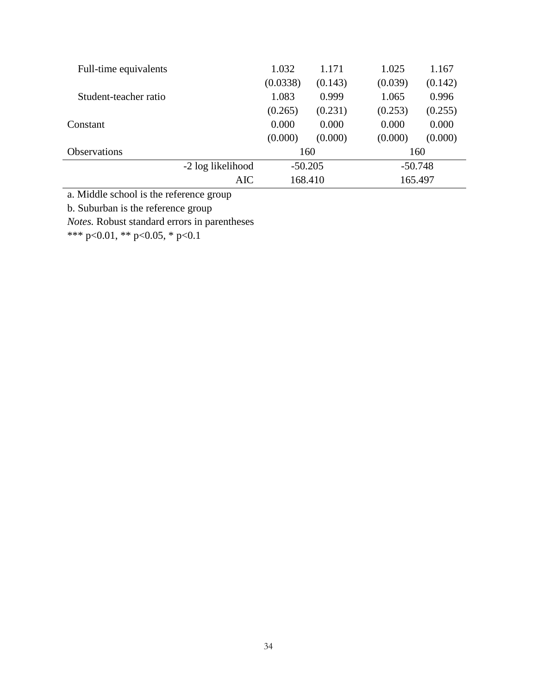| Full-time equivalents |                   | 1.032     | 1.171   | 1.025     | 1.167   |
|-----------------------|-------------------|-----------|---------|-----------|---------|
|                       |                   | (0.0338)  | (0.143) | (0.039)   | (0.142) |
| Student-teacher ratio |                   | 1.083     | 0.999   | 1.065     | 0.996   |
|                       |                   | (0.265)   | (0.231) | (0.253)   | (0.255) |
| Constant              |                   | 0.000     | 0.000   | 0.000     | 0.000   |
|                       |                   | (0.000)   | (0.000) | (0.000)   | (0.000) |
| <b>Observations</b>   |                   | 160       |         | 160       |         |
|                       | -2 log likelihood | $-50.205$ |         | $-50.748$ |         |
|                       | AIC               | 168.410   |         | 165.497   |         |

a. Middle school is the reference group

b. Suburban is the reference group

*Notes.* Robust standard errors in parentheses

\*\*\* p<0.01, \*\* p<0.05, \* p<0.1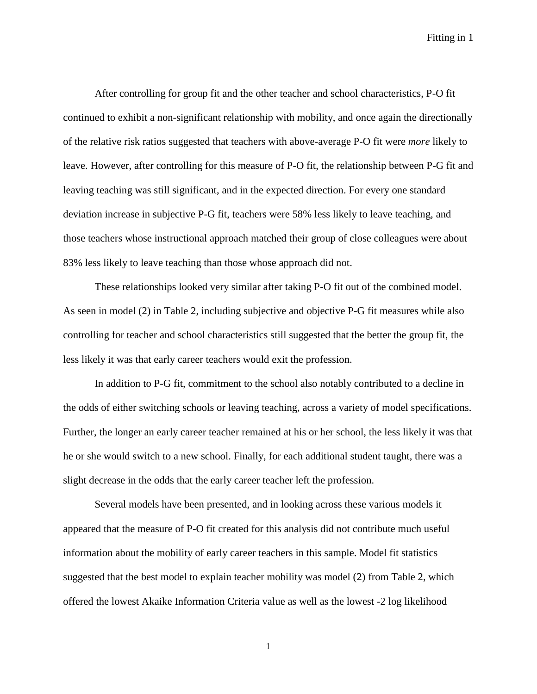After controlling for group fit and the other teacher and school characteristics, P-O fit continued to exhibit a non-significant relationship with mobility, and once again the directionally of the relative risk ratios suggested that teachers with above-average P-O fit were *more* likely to leave. However, after controlling for this measure of P-O fit, the relationship between P-G fit and leaving teaching was still significant, and in the expected direction. For every one standard deviation increase in subjective P-G fit, teachers were 58% less likely to leave teaching, and those teachers whose instructional approach matched their group of close colleagues were about 83% less likely to leave teaching than those whose approach did not.

These relationships looked very similar after taking P-O fit out of the combined model. As seen in model (2) in Table 2, including subjective and objective P-G fit measures while also controlling for teacher and school characteristics still suggested that the better the group fit, the less likely it was that early career teachers would exit the profession.

In addition to P-G fit, commitment to the school also notably contributed to a decline in the odds of either switching schools or leaving teaching, across a variety of model specifications. Further, the longer an early career teacher remained at his or her school, the less likely it was that he or she would switch to a new school. Finally, for each additional student taught, there was a slight decrease in the odds that the early career teacher left the profession.

Several models have been presented, and in looking across these various models it appeared that the measure of P-O fit created for this analysis did not contribute much useful information about the mobility of early career teachers in this sample. Model fit statistics suggested that the best model to explain teacher mobility was model (2) from Table 2, which offered the lowest Akaike Information Criteria value as well as the lowest -2 log likelihood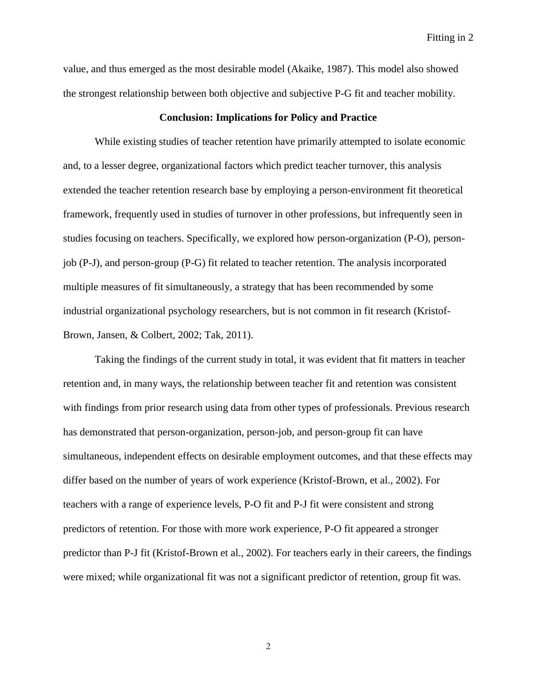value, and thus emerged as the most desirable model (Akaike, 1987). This model also showed the strongest relationship between both objective and subjective P-G fit and teacher mobility.

#### **Conclusion: Implications for Policy and Practice**

While existing studies of teacher retention have primarily attempted to isolate economic and, to a lesser degree, organizational factors which predict teacher turnover, this analysis extended the teacher retention research base by employing a person-environment fit theoretical framework, frequently used in studies of turnover in other professions, but infrequently seen in studies focusing on teachers. Specifically, we explored how person-organization (P-O), personjob (P-J), and person-group (P-G) fit related to teacher retention. The analysis incorporated multiple measures of fit simultaneously, a strategy that has been recommended by some industrial organizational psychology researchers, but is not common in fit research (Kristof-Brown, Jansen, & Colbert, 2002; Tak, 2011).

Taking the findings of the current study in total, it was evident that fit matters in teacher retention and, in many ways, the relationship between teacher fit and retention was consistent with findings from prior research using data from other types of professionals. Previous research has demonstrated that person-organization, person-job, and person-group fit can have simultaneous, independent effects on desirable employment outcomes, and that these effects may differ based on the number of years of work experience (Kristof-Brown, et al., 2002). For teachers with a range of experience levels, P-O fit and P-J fit were consistent and strong predictors of retention. For those with more work experience, P-O fit appeared a stronger predictor than P-J fit (Kristof-Brown et al., 2002). For teachers early in their careers, the findings were mixed; while organizational fit was not a significant predictor of retention, group fit was.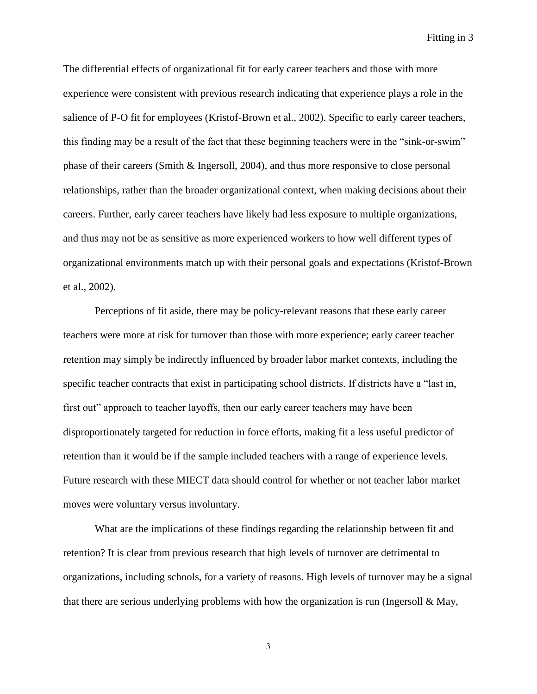The differential effects of organizational fit for early career teachers and those with more experience were consistent with previous research indicating that experience plays a role in the salience of P-O fit for employees (Kristof-Brown et al., 2002). Specific to early career teachers, this finding may be a result of the fact that these beginning teachers were in the "sink-or-swim" phase of their careers (Smith & Ingersoll, 2004), and thus more responsive to close personal relationships, rather than the broader organizational context, when making decisions about their careers. Further, early career teachers have likely had less exposure to multiple organizations, and thus may not be as sensitive as more experienced workers to how well different types of organizational environments match up with their personal goals and expectations (Kristof-Brown et al., 2002).

Perceptions of fit aside, there may be policy-relevant reasons that these early career teachers were more at risk for turnover than those with more experience; early career teacher retention may simply be indirectly influenced by broader labor market contexts, including the specific teacher contracts that exist in participating school districts. If districts have a "last in, first out" approach to teacher layoffs, then our early career teachers may have been disproportionately targeted for reduction in force efforts, making fit a less useful predictor of retention than it would be if the sample included teachers with a range of experience levels. Future research with these MIECT data should control for whether or not teacher labor market moves were voluntary versus involuntary.

What are the implications of these findings regarding the relationship between fit and retention? It is clear from previous research that high levels of turnover are detrimental to organizations, including schools, for a variety of reasons. High levels of turnover may be a signal that there are serious underlying problems with how the organization is run (Ingersoll  $\&$  May,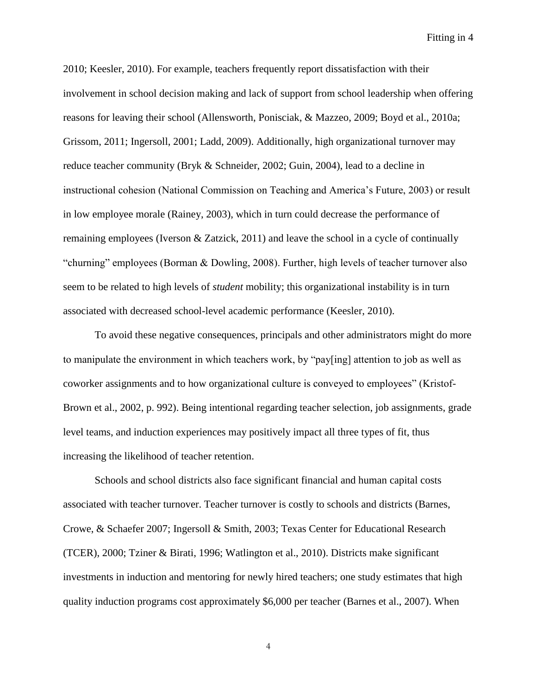2010; Keesler, 2010). For example, teachers frequently report dissatisfaction with their involvement in school decision making and lack of support from school leadership when offering reasons for leaving their school (Allensworth, Ponisciak, & Mazzeo, 2009; Boyd et al., 2010a; Grissom, 2011; Ingersoll, 2001; Ladd, 2009). Additionally, high organizational turnover may reduce teacher community (Bryk & Schneider, 2002; Guin, 2004), lead to a decline in instructional cohesion (National Commission on Teaching and America's Future, 2003) or result in low employee morale (Rainey, 2003), which in turn could decrease the performance of remaining employees (Iverson & Zatzick, 2011) and leave the school in a cycle of continually "churning" employees (Borman & Dowling, 2008). Further, high levels of teacher turnover also seem to be related to high levels of *student* mobility; this organizational instability is in turn associated with decreased school-level academic performance (Keesler, 2010).

To avoid these negative consequences, principals and other administrators might do more to manipulate the environment in which teachers work, by "pay[ing] attention to job as well as coworker assignments and to how organizational culture is conveyed to employees" (Kristof-Brown et al., 2002, p. 992). Being intentional regarding teacher selection, job assignments, grade level teams, and induction experiences may positively impact all three types of fit, thus increasing the likelihood of teacher retention.

Schools and school districts also face significant financial and human capital costs associated with teacher turnover. Teacher turnover is costly to schools and districts (Barnes, Crowe, & Schaefer 2007; Ingersoll & Smith, 2003; Texas Center for Educational Research (TCER), 2000; Tziner & Birati, 1996; Watlington et al., 2010). Districts make significant investments in induction and mentoring for newly hired teachers; one study estimates that high quality induction programs cost approximately \$6,000 per teacher (Barnes et al., 2007). When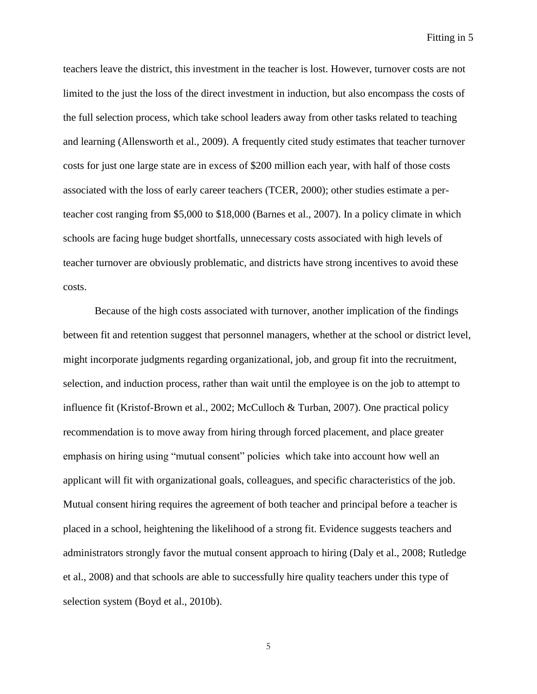teachers leave the district, this investment in the teacher is lost. However, turnover costs are not limited to the just the loss of the direct investment in induction, but also encompass the costs of the full selection process, which take school leaders away from other tasks related to teaching and learning (Allensworth et al., 2009). A frequently cited study estimates that teacher turnover costs for just one large state are in excess of \$200 million each year, with half of those costs associated with the loss of early career teachers (TCER, 2000); other studies estimate a perteacher cost ranging from \$5,000 to \$18,000 (Barnes et al., 2007). In a policy climate in which schools are facing huge budget shortfalls, unnecessary costs associated with high levels of teacher turnover are obviously problematic, and districts have strong incentives to avoid these costs.

Because of the high costs associated with turnover, another implication of the findings between fit and retention suggest that personnel managers, whether at the school or district level, might incorporate judgments regarding organizational, job, and group fit into the recruitment, selection, and induction process, rather than wait until the employee is on the job to attempt to influence fit (Kristof-Brown et al., 2002; McCulloch & Turban, 2007). One practical policy recommendation is to move away from hiring through forced placement, and place greater emphasis on hiring using "mutual consent" policies which take into account how well an applicant will fit with organizational goals, colleagues, and specific characteristics of the job. Mutual consent hiring requires the agreement of both teacher and principal before a teacher is placed in a school, heightening the likelihood of a strong fit. Evidence suggests teachers and administrators strongly favor the mutual consent approach to hiring (Daly et al., 2008; Rutledge et al., 2008) and that schools are able to successfully hire quality teachers under this type of selection system (Boyd et al., 2010b).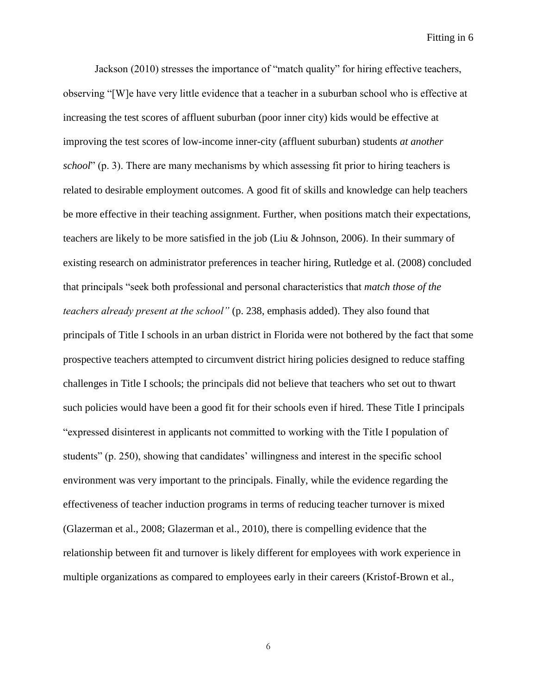Jackson (2010) stresses the importance of "match quality" for hiring effective teachers, observing "[W]e have very little evidence that a teacher in a suburban school who is effective at increasing the test scores of affluent suburban (poor inner city) kids would be effective at improving the test scores of low-income inner-city (affluent suburban) students *at another school*" (p. 3). There are many mechanisms by which assessing fit prior to hiring teachers is related to desirable employment outcomes. A good fit of skills and knowledge can help teachers be more effective in their teaching assignment. Further, when positions match their expectations, teachers are likely to be more satisfied in the job (Liu & Johnson, 2006). In their summary of existing research on administrator preferences in teacher hiring, Rutledge et al. (2008) concluded that principals "seek both professional and personal characteristics that *match those of the teachers already present at the school"* (p. 238, emphasis added). They also found that principals of Title I schools in an urban district in Florida were not bothered by the fact that some prospective teachers attempted to circumvent district hiring policies designed to reduce staffing challenges in Title I schools; the principals did not believe that teachers who set out to thwart such policies would have been a good fit for their schools even if hired. These Title I principals "expressed disinterest in applicants not committed to working with the Title I population of students" (p. 250), showing that candidates' willingness and interest in the specific school environment was very important to the principals. Finally, while the evidence regarding the effectiveness of teacher induction programs in terms of reducing teacher turnover is mixed (Glazerman et al., 2008; Glazerman et al., 2010), there is compelling evidence that the relationship between fit and turnover is likely different for employees with work experience in multiple organizations as compared to employees early in their careers (Kristof-Brown et al.,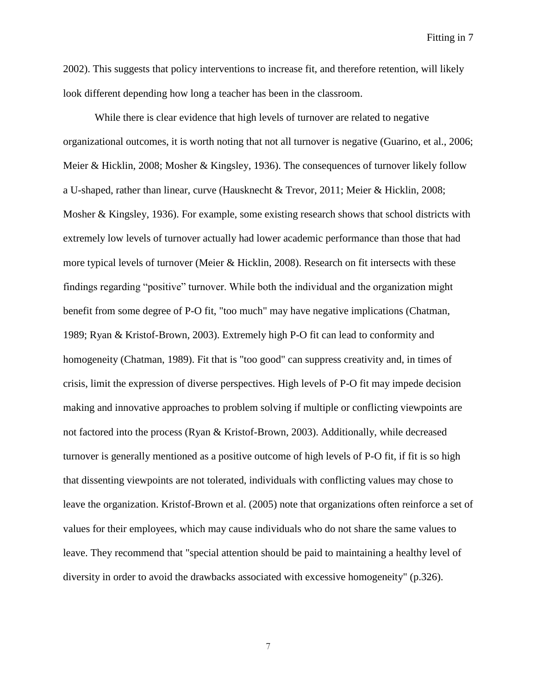2002). This suggests that policy interventions to increase fit, and therefore retention, will likely look different depending how long a teacher has been in the classroom.

While there is clear evidence that high levels of turnover are related to negative organizational outcomes, it is worth noting that not all turnover is negative (Guarino, et al., 2006; Meier & Hicklin, 2008; Mosher & Kingsley, 1936). The consequences of turnover likely follow a U-shaped, rather than linear, curve (Hausknecht & Trevor, 2011; Meier & Hicklin, 2008; Mosher & Kingsley, 1936). For example, some existing research shows that school districts with extremely low levels of turnover actually had lower academic performance than those that had more typical levels of turnover (Meier & Hicklin, 2008). Research on fit intersects with these findings regarding "positive" turnover. While both the individual and the organization might benefit from some degree of P-O fit, "too much" may have negative implications (Chatman, 1989; Ryan & Kristof-Brown, 2003). Extremely high P-O fit can lead to conformity and homogeneity (Chatman, 1989). Fit that is "too good" can suppress creativity and, in times of crisis, limit the expression of diverse perspectives. High levels of P-O fit may impede decision making and innovative approaches to problem solving if multiple or conflicting viewpoints are not factored into the process (Ryan & Kristof-Brown, 2003). Additionally, while decreased turnover is generally mentioned as a positive outcome of high levels of P-O fit, if fit is so high that dissenting viewpoints are not tolerated, individuals with conflicting values may chose to leave the organization. Kristof-Brown et al. (2005) note that organizations often reinforce a set of values for their employees, which may cause individuals who do not share the same values to leave. They recommend that "special attention should be paid to maintaining a healthy level of diversity in order to avoid the drawbacks associated with excessive homogeneity" (p.326).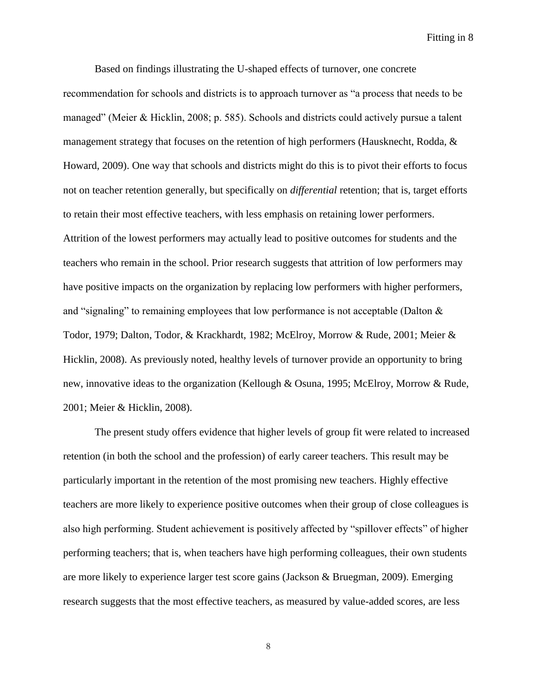Based on findings illustrating the U-shaped effects of turnover, one concrete recommendation for schools and districts is to approach turnover as "a process that needs to be managed" (Meier & Hicklin, 2008; p. 585). Schools and districts could actively pursue a talent management strategy that focuses on the retention of high performers (Hausknecht, Rodda, & Howard, 2009). One way that schools and districts might do this is to pivot their efforts to focus not on teacher retention generally, but specifically on *differential* retention; that is, target efforts to retain their most effective teachers, with less emphasis on retaining lower performers. Attrition of the lowest performers may actually lead to positive outcomes for students and the teachers who remain in the school. Prior research suggests that attrition of low performers may have positive impacts on the organization by replacing low performers with higher performers, and "signaling" to remaining employees that low performance is not acceptable (Dalton  $\&$ Todor, 1979; Dalton, Todor, & Krackhardt, 1982; McElroy, Morrow & Rude, 2001; Meier & Hicklin, 2008). As previously noted, healthy levels of turnover provide an opportunity to bring new, innovative ideas to the organization (Kellough & Osuna, 1995; McElroy, Morrow & Rude, 2001; Meier & Hicklin, 2008).

The present study offers evidence that higher levels of group fit were related to increased retention (in both the school and the profession) of early career teachers. This result may be particularly important in the retention of the most promising new teachers. Highly effective teachers are more likely to experience positive outcomes when their group of close colleagues is also high performing. Student achievement is positively affected by "spillover effects" of higher performing teachers; that is, when teachers have high performing colleagues, their own students are more likely to experience larger test score gains (Jackson & Bruegman, 2009). Emerging research suggests that the most effective teachers, as measured by value-added scores, are less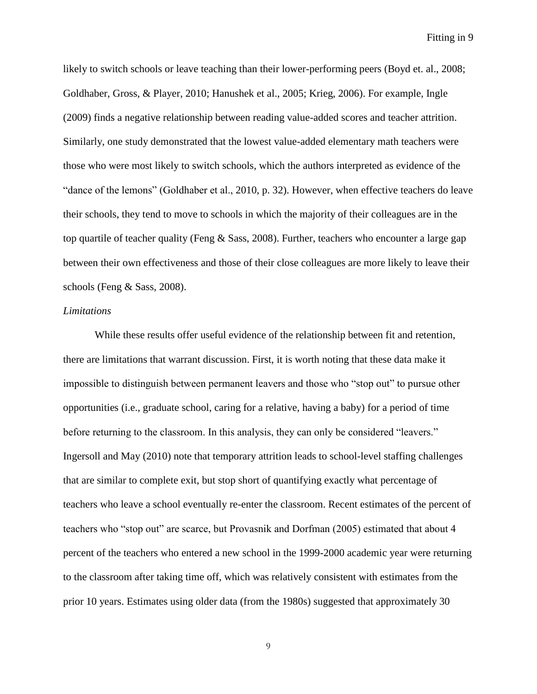likely to switch schools or leave teaching than their lower-performing peers (Boyd et. al., 2008; Goldhaber, Gross, & Player, 2010; Hanushek et al., 2005; Krieg, 2006). For example, Ingle (2009) finds a negative relationship between reading value-added scores and teacher attrition. Similarly, one study demonstrated that the lowest value-added elementary math teachers were those who were most likely to switch schools, which the authors interpreted as evidence of the "dance of the lemons" (Goldhaber et al., 2010, p. 32). However, when effective teachers do leave their schools, they tend to move to schools in which the majority of their colleagues are in the top quartile of teacher quality (Feng & Sass, 2008). Further, teachers who encounter a large gap between their own effectiveness and those of their close colleagues are more likely to leave their schools (Feng & Sass, 2008).

#### *Limitations*

While these results offer useful evidence of the relationship between fit and retention, there are limitations that warrant discussion. First, it is worth noting that these data make it impossible to distinguish between permanent leavers and those who "stop out" to pursue other opportunities (i.e., graduate school, caring for a relative, having a baby) for a period of time before returning to the classroom. In this analysis, they can only be considered "leavers." Ingersoll and May (2010) note that temporary attrition leads to school-level staffing challenges that are similar to complete exit, but stop short of quantifying exactly what percentage of teachers who leave a school eventually re-enter the classroom. Recent estimates of the percent of teachers who "stop out" are scarce, but Provasnik and Dorfman (2005) estimated that about 4 percent of the teachers who entered a new school in the 1999-2000 academic year were returning to the classroom after taking time off, which was relatively consistent with estimates from the prior 10 years. Estimates using older data (from the 1980s) suggested that approximately 30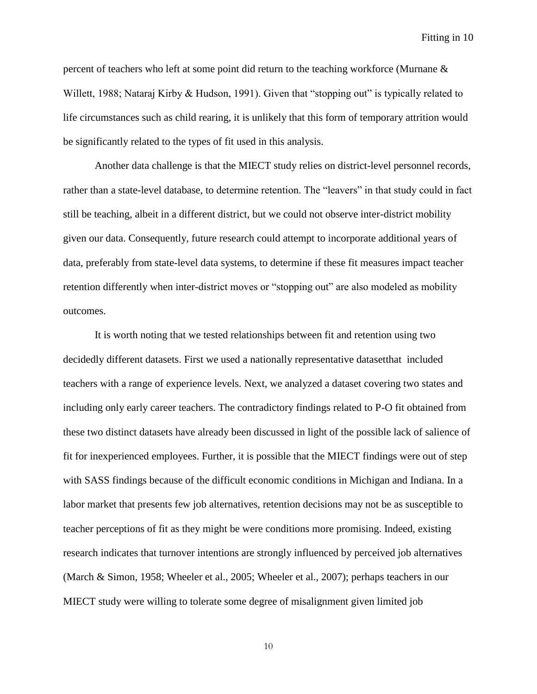percent of teachers who left at some point did return to the teaching workforce (Murnane & Willett, 1988; Nataraj Kirby & Hudson, 1991). Given that "stopping out" is typically related to life circumstances such as child rearing, it is unlikely that this form of temporary attrition would be significantly related to the types of fit used in this analysis.

Another data challenge is that the MIECT study relies on district-level personnel records, rather than a state-level database, to determine retention. The "leavers" in that study could in fact still be teaching, albeit in a different district, but we could not observe inter-district mobility given our data. Consequently, future research could attempt to incorporate additional years of data, preferably from state-level data systems, to determine if these fit measures impact teacher retention differently when inter-district moves or "stopping out" are also modeled as mobility outcomes.

It is worth noting that we tested relationships between fit and retention using two decidedly different datasets. First we used a nationally representative datasetthat included teachers with a range of experience levels. Next, we analyzed a dataset covering two states and including only early career teachers. The contradictory findings related to P-O fit obtained from these two distinct datasets have already been discussed in light of the possible lack of salience of fit for inexperienced employees. Further, it is possible that the MIECT findings were out of step with SASS findings because of the difficult economic conditions in Michigan and Indiana. In a labor market that presents few job alternatives, retention decisions may not be as susceptible to teacher perceptions of fit as they might be were conditions more promising. Indeed, existing research indicates that turnover intentions are strongly influenced by perceived job alternatives (March & Simon, 1958; Wheeler et al., 2005; Wheeler et al., 2007); perhaps teachers in our MIECT study were willing to tolerate some degree of misalignment given limited job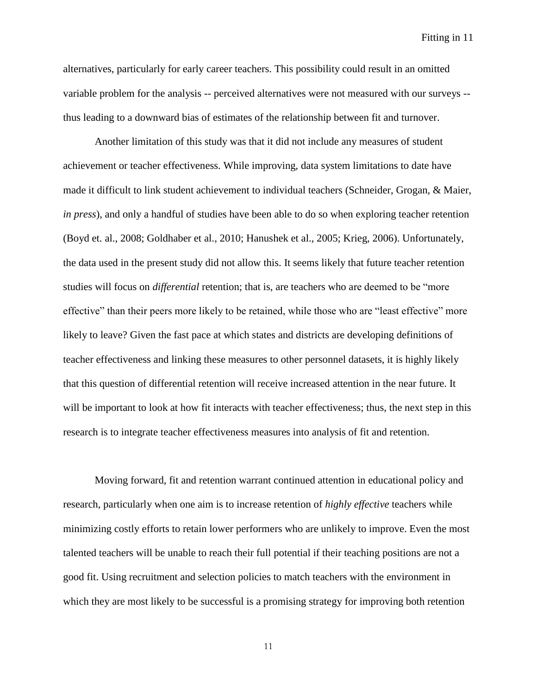alternatives, particularly for early career teachers. This possibility could result in an omitted variable problem for the analysis -- perceived alternatives were not measured with our surveys - thus leading to a downward bias of estimates of the relationship between fit and turnover.

Another limitation of this study was that it did not include any measures of student achievement or teacher effectiveness. While improving, data system limitations to date have made it difficult to link student achievement to individual teachers (Schneider, Grogan, & Maier, *in press*), and only a handful of studies have been able to do so when exploring teacher retention (Boyd et. al., 2008; Goldhaber et al., 2010; Hanushek et al., 2005; Krieg, 2006). Unfortunately, the data used in the present study did not allow this. It seems likely that future teacher retention studies will focus on *differential* retention; that is, are teachers who are deemed to be "more effective" than their peers more likely to be retained, while those who are "least effective" more likely to leave? Given the fast pace at which states and districts are developing definitions of teacher effectiveness and linking these measures to other personnel datasets, it is highly likely that this question of differential retention will receive increased attention in the near future. It will be important to look at how fit interacts with teacher effectiveness; thus, the next step in this research is to integrate teacher effectiveness measures into analysis of fit and retention.

Moving forward, fit and retention warrant continued attention in educational policy and research, particularly when one aim is to increase retention of *highly effective* teachers while minimizing costly efforts to retain lower performers who are unlikely to improve. Even the most talented teachers will be unable to reach their full potential if their teaching positions are not a good fit. Using recruitment and selection policies to match teachers with the environment in which they are most likely to be successful is a promising strategy for improving both retention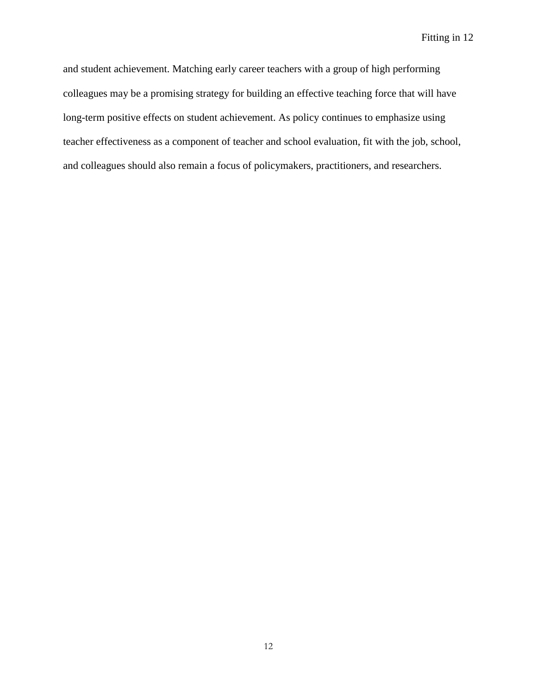and student achievement. Matching early career teachers with a group of high performing colleagues may be a promising strategy for building an effective teaching force that will have long-term positive effects on student achievement. As policy continues to emphasize using teacher effectiveness as a component of teacher and school evaluation, fit with the job, school, and colleagues should also remain a focus of policymakers, practitioners, and researchers.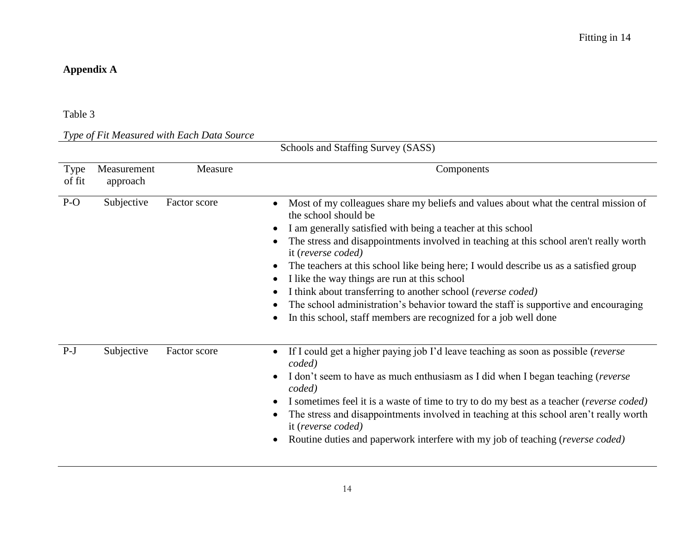## **Appendix A**

## Table 3

## *Type of Fit Measured with Each Data Source*

|                | Schools and Staffing Survey (SASS) |              |                                                                                                                                                                                                                                                                                                                                                                                                                                                                                                                                                                                                                                                                              |  |  |  |  |
|----------------|------------------------------------|--------------|------------------------------------------------------------------------------------------------------------------------------------------------------------------------------------------------------------------------------------------------------------------------------------------------------------------------------------------------------------------------------------------------------------------------------------------------------------------------------------------------------------------------------------------------------------------------------------------------------------------------------------------------------------------------------|--|--|--|--|
| Type<br>of fit | Measurement<br>approach            | Measure      | Components                                                                                                                                                                                                                                                                                                                                                                                                                                                                                                                                                                                                                                                                   |  |  |  |  |
| $P-O$          | Subjective                         | Factor score | Most of my colleagues share my beliefs and values about what the central mission of<br>$\bullet$<br>the school should be<br>I am generally satisfied with being a teacher at this school<br>The stress and disappointments involved in teaching at this school aren't really worth<br>it (reverse coded)<br>The teachers at this school like being here; I would describe us as a satisfied group<br>I like the way things are run at this school<br>I think about transferring to another school (reverse coded)<br>The school administration's behavior toward the staff is supportive and encouraging<br>In this school, staff members are recognized for a job well done |  |  |  |  |
| $P-J$          | Subjective                         | Factor score | If I could get a higher paying job I'd leave teaching as soon as possible (reverse<br>$\bullet$<br>coded)<br>I don't seem to have as much enthusiasm as I did when I began teaching (reverse<br>coded)<br>I sometimes feel it is a waste of time to try to do my best as a teacher (reverse coded)<br>The stress and disappointments involved in teaching at this school aren't really worth<br>it (reverse coded)<br>Routine duties and paperwork interfere with my job of teaching (reverse coded)                                                                                                                                                                         |  |  |  |  |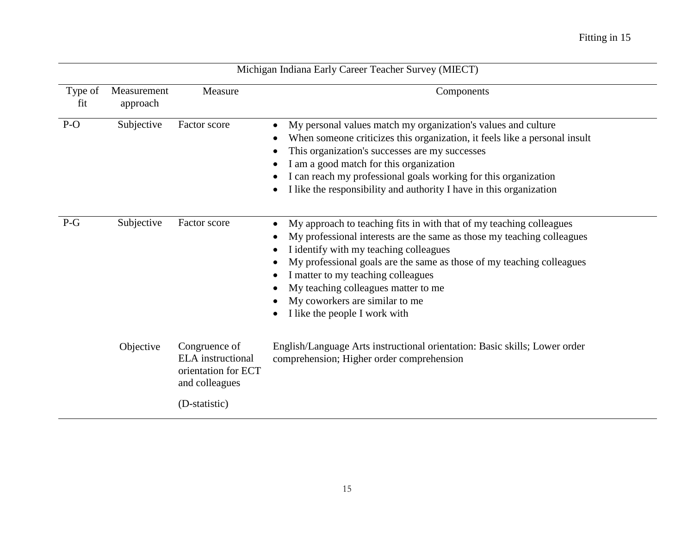| Michigan Indiana Early Career Teacher Survey (MIECT) |                         |                                                                                    |                                                                                                                                                                                                                                                                                                                                                                                                                               |  |  |  |
|------------------------------------------------------|-------------------------|------------------------------------------------------------------------------------|-------------------------------------------------------------------------------------------------------------------------------------------------------------------------------------------------------------------------------------------------------------------------------------------------------------------------------------------------------------------------------------------------------------------------------|--|--|--|
| Type of<br>fit                                       | Measurement<br>approach | Measure                                                                            | Components                                                                                                                                                                                                                                                                                                                                                                                                                    |  |  |  |
| $P-O$                                                | Subjective              | Factor score                                                                       | My personal values match my organization's values and culture<br>When someone criticizes this organization, it feels like a personal insult<br>This organization's successes are my successes<br>I am a good match for this organization<br>I can reach my professional goals working for this organization<br>I like the responsibility and authority I have in this organization<br>$\bullet$                               |  |  |  |
| $P-G$                                                | Subjective              | Factor score                                                                       | My approach to teaching fits in with that of my teaching colleagues<br>$\bullet$<br>My professional interests are the same as those my teaching colleagues<br>I identify with my teaching colleagues<br>My professional goals are the same as those of my teaching colleagues<br>I matter to my teaching colleagues<br>My teaching colleagues matter to me<br>My coworkers are similar to me<br>I like the people I work with |  |  |  |
|                                                      | Objective               | Congruence of<br><b>ELA</b> instructional<br>orientation for ECT<br>and colleagues | English/Language Arts instructional orientation: Basic skills; Lower order<br>comprehension; Higher order comprehension                                                                                                                                                                                                                                                                                                       |  |  |  |
|                                                      |                         | (D-statistic)                                                                      |                                                                                                                                                                                                                                                                                                                                                                                                                               |  |  |  |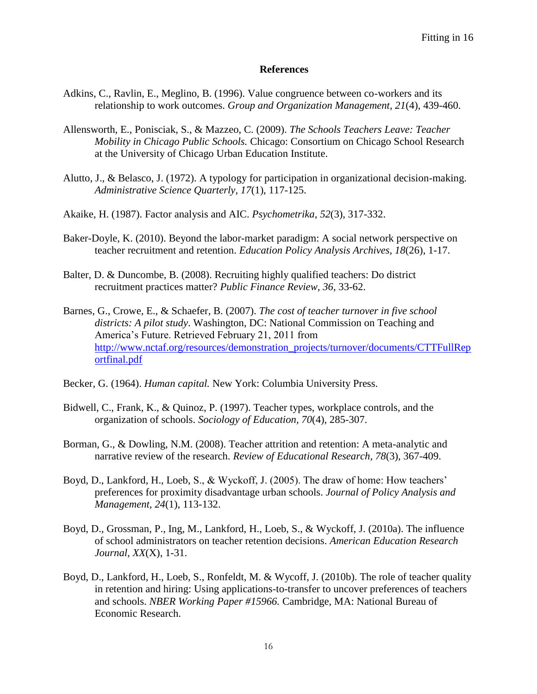#### **References**

- Adkins, C., Ravlin, E., Meglino, B. (1996). Value congruence between co-workers and its relationship to work outcomes. *Group and Organization Management, 21*(4), 439-460.
- Allensworth, E., Ponisciak, S., & Mazzeo, C. (2009). *The Schools Teachers Leave: Teacher Mobility in Chicago Public Schools.* Chicago: Consortium on Chicago School Research at the University of Chicago Urban Education Institute.
- Alutto, J., & Belasco, J. (1972). A typology for participation in organizational decision-making. *Administrative Science Quarterly, 17*(1), 117-125.
- Akaike, H. (1987). Factor analysis and AIC. *Psychometrika*, *52*(3), 317-332.
- Baker-Doyle, K. (2010). Beyond the labor-market paradigm: A social network perspective on teacher recruitment and retention. *Education Policy Analysis Archives, 18*(26), 1-17.
- Balter, D. & Duncombe, B. (2008). Recruiting highly qualified teachers: Do district recruitment practices matter? *Public Finance Review, 36*, 33-62.
- Barnes, G., Crowe, E., & Schaefer, B. (2007). *The cost of teacher turnover in five school districts: A pilot study*. Washington, DC: National Commission on Teaching and America's Future. Retrieved February 21, 2011 from [http://www.nctaf.org/resources/demonstration\\_projects/turnover/documents/CTTFullRep](http://www.nctaf.org/resources/demonstration_projects/turnover/documents/CTTFullReportfinal.pdf) [ortfinal.pdf](http://www.nctaf.org/resources/demonstration_projects/turnover/documents/CTTFullReportfinal.pdf)
- Becker, G. (1964). *Human capital.* New York: Columbia University Press.
- Bidwell, C., Frank, K., & Quinoz, P. (1997). Teacher types, workplace controls, and the organization of schools. *Sociology of Education, 70*(4), 285-307.
- Borman, G., & Dowling, N.M. (2008). Teacher attrition and retention: A meta-analytic and narrative review of the research. *Review of Educational Research, 78*(3), 367-409.
- Boyd, D., Lankford, H., Loeb, S., & Wyckoff, J. (2005). The draw of home: How teachers' preferences for proximity disadvantage urban schools. *Journal of Policy Analysis and Management, 24*(1), 113-132.
- Boyd, D., Grossman, P., Ing, M., Lankford, H., Loeb, S., & Wyckoff, J. (2010a). The influence of school administrators on teacher retention decisions. *American Education Research Journal, XX*(X), 1-31.
- Boyd, D., Lankford, H., Loeb, S., Ronfeldt, M. & Wycoff, J. (2010b). The role of teacher quality in retention and hiring: Using applications-to-transfer to uncover preferences of teachers and schools. *NBER Working Paper #15966.* Cambridge, MA: National Bureau of Economic Research.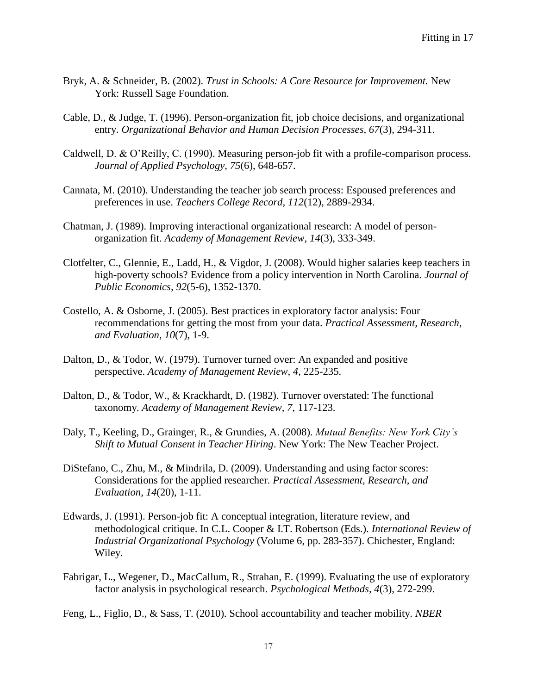- Bryk, A. & Schneider, B. (2002). *Trust in Schools: A Core Resource for Improvement.* New York: Russell Sage Foundation.
- Cable, D., & Judge, T. (1996). Person-organization fit, job choice decisions, and organizational entry. *Organizational Behavior and Human Decision Processes, 67*(3), 294-311.
- Caldwell, D. & O'Reilly, C. (1990). Measuring person-job fit with a profile-comparison process. *Journal of Applied Psychology, 75*(6), 648-657.
- Cannata, M. (2010). Understanding the teacher job search process: Espoused preferences and preferences in use. *Teachers College Record, 112*(12), 2889-2934.
- Chatman, J. (1989). Improving interactional organizational research: A model of personorganization fit. *Academy of Management Review, 14*(3), 333-349.
- Clotfelter, C., Glennie, E., Ladd, H., & Vigdor, J. (2008). Would higher salaries keep teachers in high-poverty schools? Evidence from a policy intervention in North Carolina. *Journal of Public Economics, 92*(5-6), 1352-1370.
- Costello, A. & Osborne, J. (2005). Best practices in exploratory factor analysis: Four recommendations for getting the most from your data. *Practical Assessment, Research, and Evaluation, 10*(7), 1-9.
- Dalton, D., & Todor, W. (1979). Turnover turned over: An expanded and positive perspective. *Academy of Management Review, 4*, 225-235.
- Dalton, D., & Todor, W., & Krackhardt, D. (1982). Turnover overstated: The functional taxonomy. *Academy of Management Review, 7*, 117-123.
- Daly, T., Keeling, D., Grainger, R., & Grundies, A. (2008). *Mutual Benefits: New York City's Shift to Mutual Consent in Teacher Hiring*. New York: The New Teacher Project.
- DiStefano, C., Zhu, M., & Mindrila, D. (2009). Understanding and using factor scores: Considerations for the applied researcher. *Practical Assessment, Research, and Evaluation, 14*(20), 1-11.
- Edwards, J. (1991). Person-job fit: A conceptual integration, literature review, and methodological critique. In C.L. Cooper & I.T. Robertson (Eds.). *International Review of Industrial Organizational Psychology* (Volume 6, pp. 283-357). Chichester, England: Wiley.
- Fabrigar, L., Wegener, D., MacCallum, R., Strahan, E. (1999). Evaluating the use of exploratory factor analysis in psychological research. *Psychological Methods, 4*(3), 272-299.

Feng, L., Figlio, D., & Sass, T. (2010). School accountability and teacher mobility. *NBER*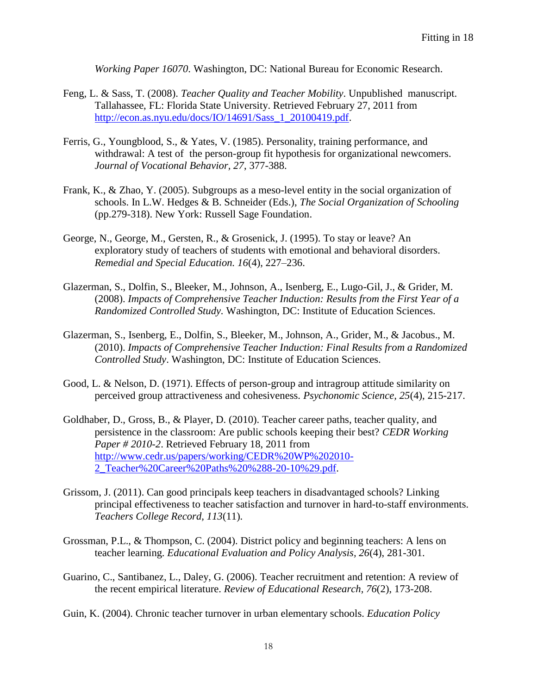*Working Paper 16070*. Washington, DC: National Bureau for Economic Research.

- Feng, L. & Sass, T. (2008). *Teacher Quality and Teacher Mobility*. Unpublished manuscript. Tallahassee, FL: Florida State University. Retrieved February 27, 2011 from [http://econ.as.nyu.edu/docs/IO/14691/Sass\\_1\\_20100419.pdf.](http://econ.as.nyu.edu/docs/IO/14691/Sass_1_20100419.pdf)
- Ferris, G., Youngblood, S., & Yates, V. (1985). Personality, training performance, and withdrawal: A test of the person-group fit hypothesis for organizational newcomers. *Journal of Vocational Behavior, 27*, 377-388.
- Frank, K., & Zhao, Y. (2005). Subgroups as a meso-level entity in the social organization of schools. In L.W. Hedges & B. Schneider (Eds.), *The Social Organization of Schooling* (pp.279-318). New York: Russell Sage Foundation.
- George, N., George, M., Gersten, R., & Grosenick, J. (1995). To stay or leave? An exploratory study of teachers of students with emotional and behavioral disorders. *Remedial and Special Education. 16*(4), 227–236.
- Glazerman, S., Dolfin, S., Bleeker, M., Johnson, A., Isenberg, E., Lugo-Gil, J., & Grider, M. (2008). *Impacts of Comprehensive Teacher Induction: Results from the First Year of a Randomized Controlled Study.* Washington, DC: Institute of Education Sciences.
- Glazerman, S., Isenberg, E., Dolfin, S., Bleeker, M., Johnson, A., Grider, M., & Jacobus., M. (2010). *Impacts of Comprehensive Teacher Induction: Final Results from a Randomized Controlled Study*. Washington, DC: Institute of Education Sciences.
- Good, L. & Nelson, D. (1971). Effects of person-group and intragroup attitude similarity on perceived group attractiveness and cohesiveness. *Psychonomic Science, 25*(4), 215-217.
- Goldhaber, D., Gross, B., & Player, D. (2010). Teacher career paths, teacher quality, and persistence in the classroom: Are public schools keeping their best? *CEDR Working Paper # 2010-2*. Retrieved February 18, 2011 from [http://www.cedr.us/papers/working/CEDR%20WP%202010-](http://www.cedr.us/papers/working/CEDR%20WP%202010-2_Teacher%20Career%20Paths%20%288-20-10%29.pdf) [2\\_Teacher%20Career%20Paths%20%288-20-10%29.pdf.](http://www.cedr.us/papers/working/CEDR%20WP%202010-2_Teacher%20Career%20Paths%20%288-20-10%29.pdf)
- Grissom, J. (2011). Can good principals keep teachers in disadvantaged schools? Linking principal effectiveness to teacher satisfaction and turnover in hard-to-staff environments. *Teachers College Record, 113*(11).
- Grossman, P.L., & Thompson, C. (2004). District policy and beginning teachers: A lens on teacher learning. *Educational Evaluation and Policy Analysis, 26*(4), 281-301.
- Guarino, C., Santibanez, L., Daley, G. (2006). Teacher recruitment and retention: A review of the recent empirical literature. *Review of Educational Research, 76*(2), 173-208.
- Guin, K. (2004). Chronic teacher turnover in urban elementary schools. *Education Policy*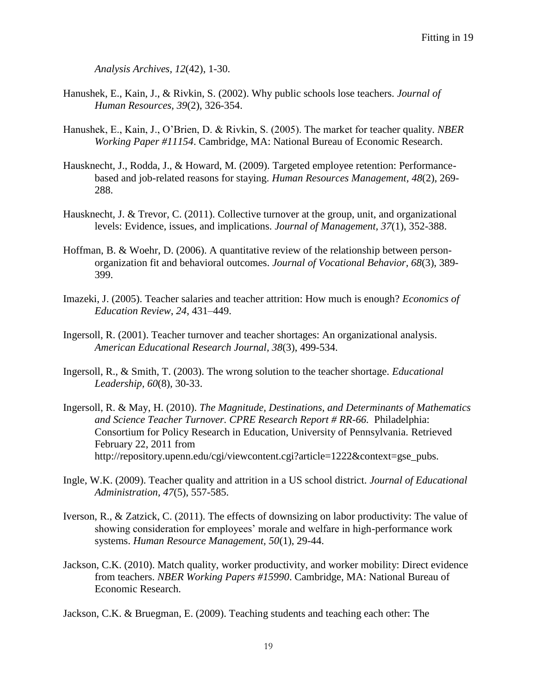*Analysis Archives, 12*(42), 1-30.

- Hanushek, E., Kain, J., & Rivkin, S. (2002). Why public schools lose teachers. *Journal of Human Resources, 39*(2), 326-354.
- Hanushek, E., Kain, J., O'Brien, D. & Rivkin, S. (2005). The market for teacher quality. *NBER Working Paper #11154*. Cambridge, MA: National Bureau of Economic Research.
- Hausknecht, J., Rodda, J., & Howard, M. (2009). Targeted employee retention: Performancebased and job-related reasons for staying. *Human Resources Management, 48*(2), 269- 288.
- Hausknecht, J. & Trevor, C. (2011). Collective turnover at the group, unit, and organizational levels: Evidence, issues, and implications. *Journal of Management, 37*(1), 352-388.
- Hoffman, B. & Woehr, D. (2006). A quantitative review of the relationship between personorganization fit and behavioral outcomes. *Journal of Vocational Behavior, 68*(3), 389- 399.
- Imazeki, J. (2005). Teacher salaries and teacher attrition: How much is enough? *Economics of Education Review*, *24*, 431–449.
- Ingersoll, R. (2001). Teacher turnover and teacher shortages: An organizational analysis. *American Educational Research Journal, 38*(3), 499-534.
- Ingersoll, R., & Smith, T. (2003). The wrong solution to the teacher shortage. *Educational Leadership, 60*(8), 30-33.
- Ingersoll, R. & May, H. (2010). *The Magnitude, Destinations, and Determinants of Mathematics and Science Teacher Turnover. CPRE Research Report # RR-66.* Philadelphia: Consortium for Policy Research in Education, University of Pennsylvania. Retrieved February 22, 2011 from http://repository.upenn.edu/cgi/viewcontent.cgi?article=1222&context=gse\_pubs.
- Ingle, W.K. (2009). Teacher quality and attrition in a US school district. *Journal of Educational Administration, 47*(5), 557-585.
- Iverson, R., & Zatzick, C. (2011). The effects of downsizing on labor productivity: The value of showing consideration for employees' morale and welfare in high-performance work systems. *Human Resource Management, 50*(1), 29-44.
- Jackson, C.K. (2010). Match quality, worker productivity, and worker mobility: Direct evidence from teachers. *NBER Working Papers #15990*. Cambridge, MA: National Bureau of Economic Research.

Jackson, C.K. & Bruegman, E. (2009). Teaching students and teaching each other: The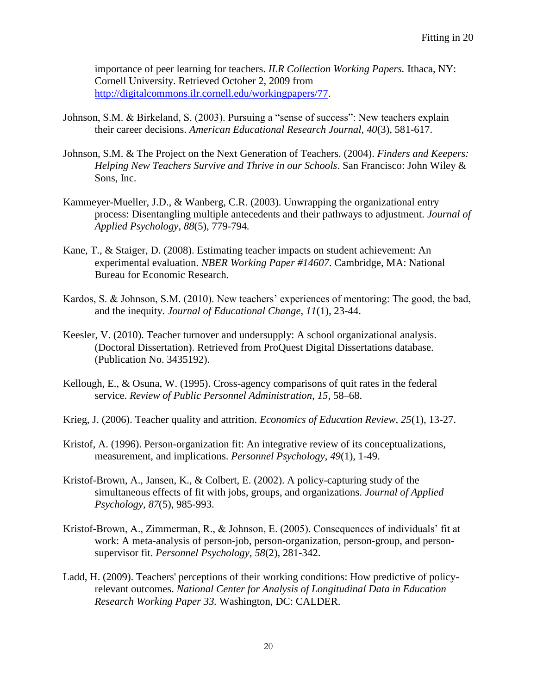importance of peer learning for teachers. *ILR Collection Working Papers.* Ithaca, NY: Cornell University. Retrieved October 2, 2009 from [http://digitalcommons.ilr.cornell.edu/workingpapers/77.](http://digitalcommons.ilr.cornell.edu/workingpapers/77)

- Johnson, S.M. & Birkeland, S. (2003). Pursuing a "sense of success": New teachers explain their career decisions. *American Educational Research Journal, 40*(3), 581-617.
- Johnson, S.M. & The Project on the Next Generation of Teachers. (2004). *Finders and Keepers: Helping New Teachers Survive and Thrive in our Schools*. San Francisco: John Wiley & Sons, Inc.
- Kammeyer-Mueller, J.D., & Wanberg, C.R. (2003). Unwrapping the organizational entry process: Disentangling multiple antecedents and their pathways to adjustment. *Journal of Applied Psychology, 88*(5), 779-794*.*
- Kane, T., & Staiger, D. (2008). Estimating teacher impacts on student achievement: An experimental evaluation. *NBER Working Paper #14607*. Cambridge, MA: National Bureau for Economic Research.
- Kardos, S. & Johnson, S.M. (2010). New teachers' experiences of mentoring: The good, the bad, and the inequity. *Journal of Educational Change, 11*(1), 23-44.
- Keesler, V. (2010). Teacher turnover and undersupply: A school organizational analysis. (Doctoral Dissertation). Retrieved from ProQuest Digital Dissertations database. (Publication No. 3435192).
- Kellough, E., & Osuna, W. (1995). Cross-agency comparisons of quit rates in the federal service. *Review of Public Personnel Administration*, *15,* 58–68.
- Krieg, J. (2006). Teacher quality and attrition. *Economics of Education Review, 25*(1), 13-27.
- Kristof, A. (1996). Person-organization fit: An integrative review of its conceptualizations, measurement, and implications. *Personnel Psychology*, *49*(1), 1-49.
- Kristof-Brown, A., Jansen, K., & Colbert, E. (2002). A policy-capturing study of the simultaneous effects of fit with jobs, groups, and organizations. *Journal of Applied Psychology, 87*(5), 985-993.
- Kristof-Brown, A., Zimmerman, R., & Johnson, E. (2005). Consequences of individuals' fit at work: A meta-analysis of person-job, person-organization, person-group, and personsupervisor fit. *Personnel Psychology, 58*(2)*,* 281-342.
- Ladd, H. (2009). Teachers' perceptions of their working conditions: How predictive of policyrelevant outcomes. *National Center for Analysis of Longitudinal Data in Education Research Working Paper 33.* Washington, DC: CALDER.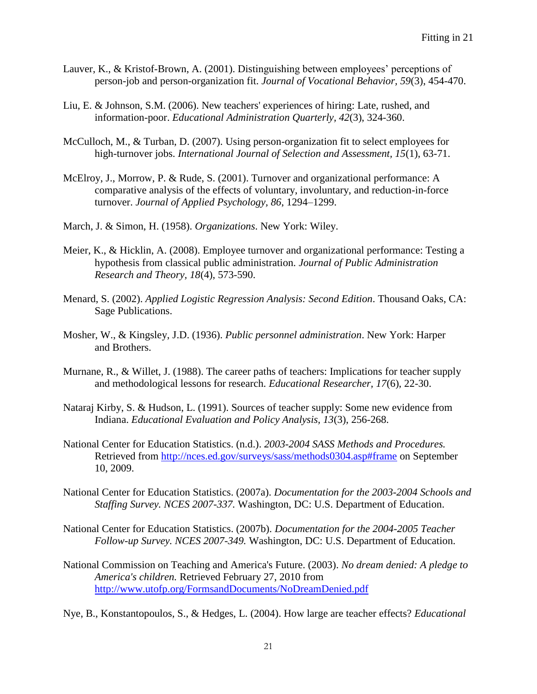- Lauver, K., & Kristof-Brown, A. (2001). Distinguishing between employees' perceptions of person-job and person-organization fit. *Journal of Vocational Behavior, 59*(3), 454-470.
- Liu, E. & Johnson, S.M. (2006). New teachers' experiences of hiring: Late, rushed, and information-poor. *Educational Administration Quarterly, 42*(3), 324-360.
- McCulloch, M., & Turban, D. (2007). Using person-organization fit to select employees for high-turnover jobs. *International Journal of Selection and Assessment, 15*(1), 63-71.
- McElroy, J., Morrow, P. & Rude, S. (2001). Turnover and organizational performance: A comparative analysis of the effects of voluntary, involuntary, and reduction-in-force turnover. *Journal of Applied Psychology, 86*, 1294–1299.
- March, J. & Simon, H. (1958). *Organizations*. New York: Wiley.
- Meier, K., & Hicklin, A. (2008). Employee turnover and organizational performance: Testing a hypothesis from classical public administration. *Journal of Public Administration Research and Theory, 18*(4), 573-590.
- Menard, S. (2002). *Applied Logistic Regression Analysis: Second Edition*. Thousand Oaks, CA: Sage Publications.
- Mosher, W., & Kingsley, J.D. (1936). *Public personnel administration*. New York: Harper and Brothers.
- Murnane, R., & Willet, J. (1988). The career paths of teachers: Implications for teacher supply and methodological lessons for research. *Educational Researcher, 17*(6), 22-30.
- Nataraj Kirby, S. & Hudson, L. (1991). Sources of teacher supply: Some new evidence from Indiana. *Educational Evaluation and Policy Analysis, 13*(3), 256-268.
- National Center for Education Statistics. (n.d.). *2003-2004 SASS Methods and Procedures.* Retrieved from<http://nces.ed.gov/surveys/sass/methods0304.asp#frame> on September 10, 2009.
- National Center for Education Statistics. (2007a). *Documentation for the 2003-2004 Schools and Staffing Survey. NCES 2007-337.* Washington, DC: U.S. Department of Education.
- National Center for Education Statistics. (2007b). *Documentation for the 2004-2005 Teacher Follow-up Survey. NCES 2007-349.* Washington, DC: U.S. Department of Education.
- National Commission on Teaching and America's Future. (2003). *No dream denied: A pledge to America's children.* Retrieved February 27, 2010 from <http://www.utofp.org/FormsandDocuments/NoDreamDenied.pdf>

Nye, B., Konstantopoulos, S., & Hedges, L. (2004). How large are teacher effects? *Educational*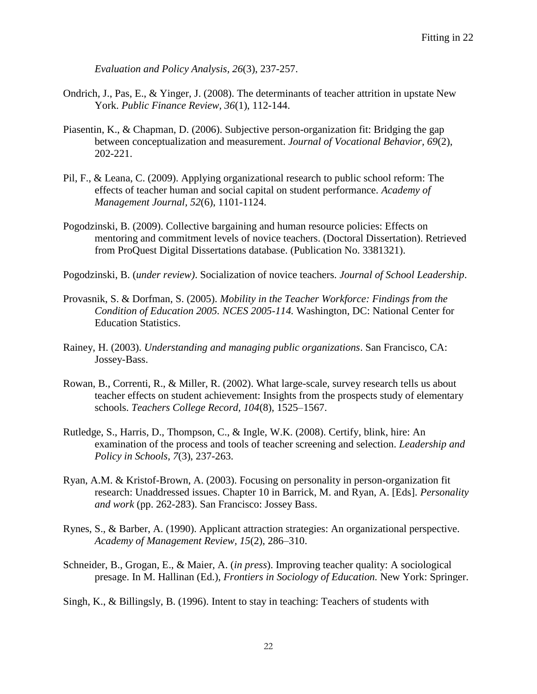*Evaluation and Policy Analysis, 26*(3), 237-257.

- Ondrich, J., Pas, E., & Yinger, J. (2008). The determinants of teacher attrition in upstate New York. *Public Finance Review, 36*(1), 112-144.
- Piasentin, K., & Chapman, D. (2006). Subjective person-organization fit: Bridging the gap between conceptualization and measurement. *Journal of Vocational Behavior, 69*(2), 202-221.
- Pil, F., & Leana, C. (2009). Applying organizational research to public school reform: The effects of teacher human and social capital on student performance. *Academy of Management Journal, 52*(6), 1101-1124.
- Pogodzinski, B. (2009). Collective bargaining and human resource policies: Effects on mentoring and commitment levels of novice teachers. (Doctoral Dissertation). Retrieved from ProQuest Digital Dissertations database. (Publication No. 3381321).
- Pogodzinski, B. (*under review)*. Socialization of novice teachers. *Journal of School Leadership*.
- Provasnik, S. & Dorfman, S. (2005). *Mobility in the Teacher Workforce: Findings from the Condition of Education 2005. NCES 2005-114.* Washington, DC: National Center for Education Statistics.
- Rainey, H. (2003). *Understanding and managing public organizations*. San Francisco, CA: Jossey-Bass.
- Rowan, B., Correnti, R., & Miller, R. (2002). What large-scale, survey research tells us about teacher effects on student achievement: Insights from the prospects study of elementary schools. *Teachers College Record, 104*(8)*,* 1525–1567.
- Rutledge, S., Harris, D., Thompson, C., & Ingle, W.K. (2008). Certify, blink, hire: An examination of the process and tools of teacher screening and selection. *Leadership and Policy in Schools, 7*(3), 237-263.
- Ryan, A.M. & Kristof-Brown, A. (2003). Focusing on personality in person-organization fit research: Unaddressed issues. Chapter 10 in Barrick, M. and Ryan, A. [Eds]. *Personality and work* (pp. 262-283). San Francisco: Jossey Bass.
- Rynes, S., & Barber, A. (1990). Applicant attraction strategies: An organizational perspective. *Academy of Management Review, 15*(2), 286–310.
- Schneider, B., Grogan, E., & Maier, A. (*in press*). Improving teacher quality: A sociological presage. In M. Hallinan (Ed.), *Frontiers in Sociology of Education.* New York: Springer.

Singh, K., & Billingsly, B. (1996). Intent to stay in teaching: Teachers of students with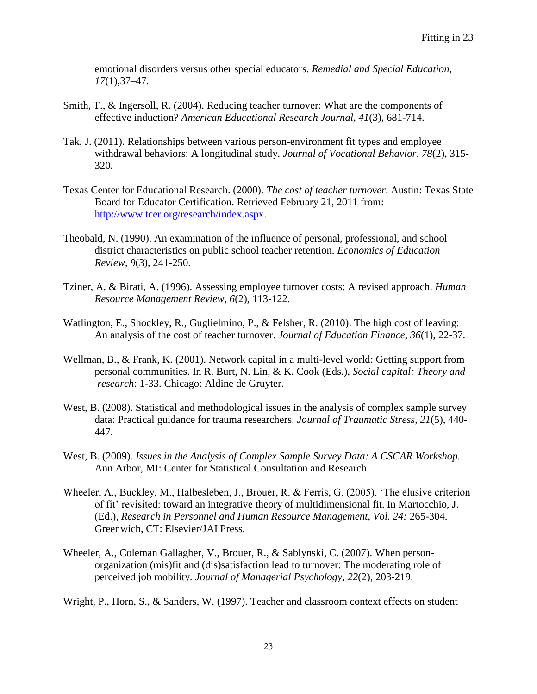emotional disorders versus other special educators. *Remedial and Special Education, 17*(1),37–47.

- Smith, T., & Ingersoll, R. (2004). Reducing teacher turnover: What are the components of effective induction? *American Educational Research Journal, 41*(3), 681-714.
- Tak, J. (2011). Relationships between various person-environment fit types and employee withdrawal behaviors: A longitudinal study. *Journal of Vocational Behavior, 78*(2), 315- 320*.*
- Texas Center for Educational Research. (2000). *The cost of teacher turnover*. Austin: Texas State Board for Educator Certification. Retrieved February 21, 2011 from: [http://www.tcer.org/research/index.aspx.](http://www.tcer.org/research/index.aspx)
- Theobald, N. (1990). An examination of the influence of personal, professional, and school district characteristics on public school teacher retention. *Economics of Education Review, 9*(3), 241-250.
- Tziner, A. & Birati, A. (1996). Assessing employee turnover costs: A revised approach. *Human Resource Management Review, 6*(2), 113-122.
- Watlington, E., Shockley, R., Guglielmino, P., & Felsher, R. (2010). The high cost of leaving: An analysis of the cost of teacher turnover. *Journal of Education Finance, 36*(1), 22-37.
- Wellman, B., & Frank, K. (2001). Network capital in a multi-level world: Getting support from personal communities. In R. Burt, N. Lin, & K. Cook (Eds.), *Social capital: Theory and research*: 1-33. Chicago: Aldine de Gruyter.
- West, B. (2008). Statistical and methodological issues in the analysis of complex sample survey data: Practical guidance for trauma researchers. *Journal of Traumatic Stress, 21*(5), 440- 447.
- West, B. (2009). *Issues in the Analysis of Complex Sample Survey Data: A CSCAR Workshop.*  Ann Arbor, MI: Center for Statistical Consultation and Research.
- Wheeler, A., Buckley, M., Halbesleben, J., Brouer, R. & Ferris, G. (2005). 'The elusive criterion of fit' revisited: toward an integrative theory of multidimensional fit. In Martocchio, J. (Ed.), *Research in Personnel and Human Resource Management, Vol. 24:* 265-304. Greenwich, CT: Elsevier/JAI Press.
- Wheeler, A., Coleman Gallagher, V., Brouer, R., & Sablynski, C. (2007). When personorganization (mis)fit and (dis)satisfaction lead to turnover: The moderating role of perceived job mobility. *Journal of Managerial Psychology, 22*(2), 203-219.

Wright, P., Horn, S., & Sanders, W. (1997). Teacher and classroom context effects on student